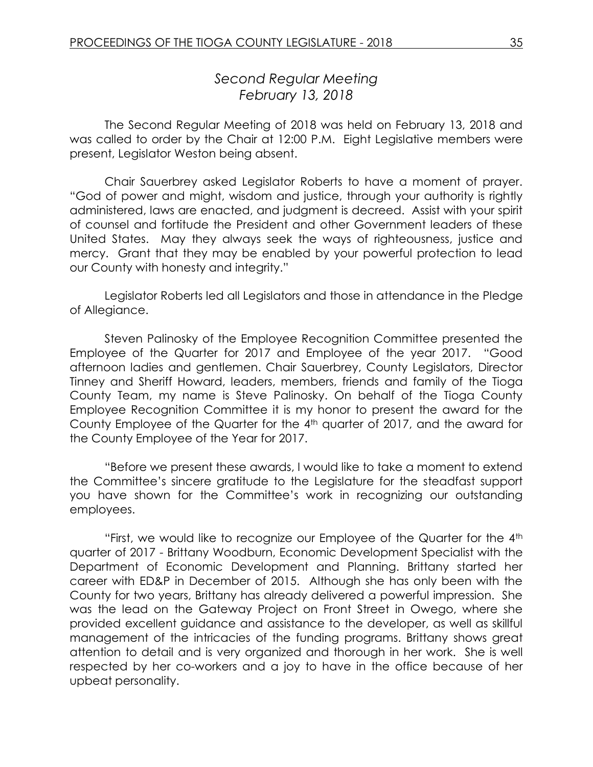# *Second Regular Meeting February 13, 2018*

The Second Regular Meeting of 2018 was held on February 13, 2018 and was called to order by the Chair at 12:00 P.M. Eight Legislative members were present, Legislator Weston being absent.

Chair Sauerbrey asked Legislator Roberts to have a moment of prayer. "God of power and might, wisdom and justice, through your authority is rightly administered, laws are enacted, and judgment is decreed. Assist with your spirit of counsel and fortitude the President and other Government leaders of these United States. May they always seek the ways of righteousness, justice and mercy. Grant that they may be enabled by your powerful protection to lead our County with honesty and integrity."

Legislator Roberts led all Legislators and those in attendance in the Pledge of Allegiance.

Steven Palinosky of the Employee Recognition Committee presented the Employee of the Quarter for 2017 and Employee of the year 2017. "Good afternoon ladies and gentlemen. Chair Sauerbrey, County Legislators, Director Tinney and Sheriff Howard, leaders, members, friends and family of the Tioga County Team, my name is Steve Palinosky. On behalf of the Tioga County Employee Recognition Committee it is my honor to present the award for the County Employee of the Quarter for the 4th quarter of 2017, and the award for the County Employee of the Year for 2017.

"Before we present these awards, I would like to take a moment to extend the Committee's sincere gratitude to the Legislature for the steadfast support you have shown for the Committee's work in recognizing our outstanding employees.

"First, we would like to recognize our Employee of the Quarter for the 4th quarter of 2017 - Brittany Woodburn, Economic Development Specialist with the Department of Economic Development and Planning. Brittany started her career with ED&P in December of 2015. Although she has only been with the County for two years, Brittany has already delivered a powerful impression. She was the lead on the Gateway Project on Front Street in Owego, where she provided excellent guidance and assistance to the developer, as well as skillful management of the intricacies of the funding programs. Brittany shows great attention to detail and is very organized and thorough in her work. She is well respected by her co-workers and a joy to have in the office because of her upbeat personality.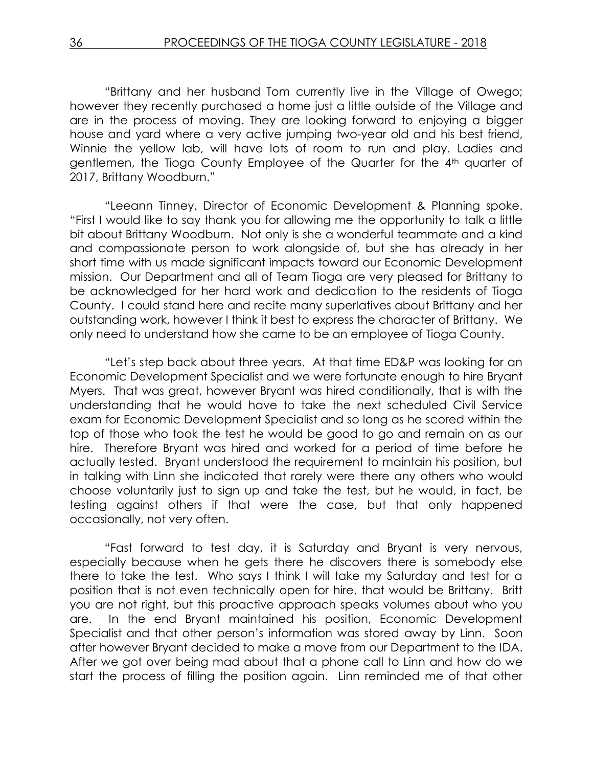"Brittany and her husband Tom currently live in the Village of Owego; however they recently purchased a home just a little outside of the Village and are in the process of moving. They are looking forward to enjoying a bigger house and yard where a very active jumping two-year old and his best friend, Winnie the yellow lab, will have lots of room to run and play. Ladies and gentlemen, the Tioga County Employee of the Quarter for the 4th quarter of 2017, Brittany Woodburn."

"Leeann Tinney, Director of Economic Development & Planning spoke. "First I would like to say thank you for allowing me the opportunity to talk a little bit about Brittany Woodburn. Not only is she a wonderful teammate and a kind and compassionate person to work alongside of, but she has already in her short time with us made significant impacts toward our Economic Development mission. Our Department and all of Team Tioga are very pleased for Brittany to be acknowledged for her hard work and dedication to the residents of Tioga County. I could stand here and recite many superlatives about Brittany and her outstanding work, however I think it best to express the character of Brittany. We only need to understand how she came to be an employee of Tioga County.

"Let's step back about three years. At that time ED&P was looking for an Economic Development Specialist and we were fortunate enough to hire Bryant Myers. That was great, however Bryant was hired conditionally, that is with the understanding that he would have to take the next scheduled Civil Service exam for Economic Development Specialist and so long as he scored within the top of those who took the test he would be good to go and remain on as our hire. Therefore Bryant was hired and worked for a period of time before he actually tested. Bryant understood the requirement to maintain his position, but in talking with Linn she indicated that rarely were there any others who would choose voluntarily just to sign up and take the test, but he would, in fact, be testing against others if that were the case, but that only happened occasionally, not very often.

"Fast forward to test day, it is Saturday and Bryant is very nervous, especially because when he gets there he discovers there is somebody else there to take the test. Who says I think I will take my Saturday and test for a position that is not even technically open for hire, that would be Brittany. Britt you are not right, but this proactive approach speaks volumes about who you are. In the end Bryant maintained his position, Economic Development Specialist and that other person's information was stored away by Linn. Soon after however Bryant decided to make a move from our Department to the IDA. After we got over being mad about that a phone call to Linn and how do we start the process of filling the position again. Linn reminded me of that other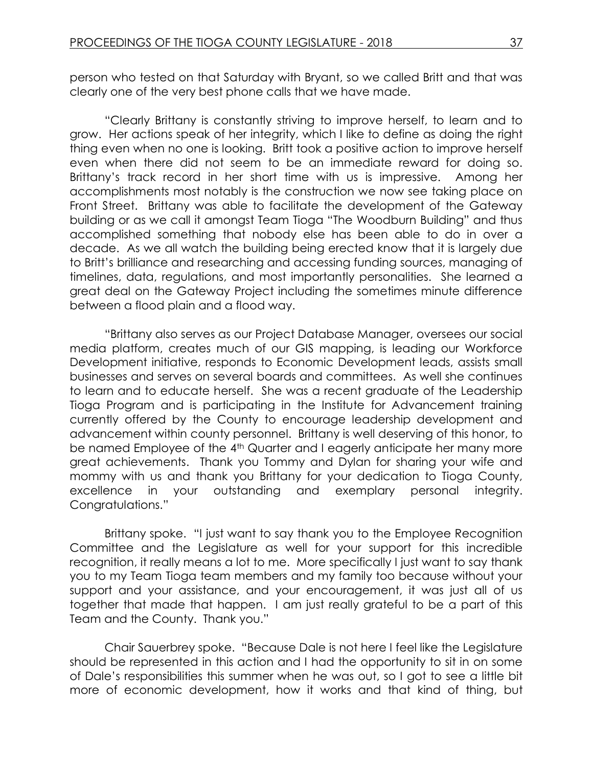person who tested on that Saturday with Bryant, so we called Britt and that was clearly one of the very best phone calls that we have made.

"Clearly Brittany is constantly striving to improve herself, to learn and to grow. Her actions speak of her integrity, which I like to define as doing the right thing even when no one is looking. Britt took a positive action to improve herself even when there did not seem to be an immediate reward for doing so. Brittany's track record in her short time with us is impressive. Among her accomplishments most notably is the construction we now see taking place on Front Street. Brittany was able to facilitate the development of the Gateway building or as we call it amongst Team Tioga "The Woodburn Building" and thus accomplished something that nobody else has been able to do in over a decade. As we all watch the building being erected know that it is largely due to Britt's brilliance and researching and accessing funding sources, managing of timelines, data, regulations, and most importantly personalities. She learned a great deal on the Gateway Project including the sometimes minute difference between a flood plain and a flood way.

"Brittany also serves as our Project Database Manager, oversees our social media platform, creates much of our GIS mapping, is leading our Workforce Development initiative, responds to Economic Development leads, assists small businesses and serves on several boards and committees. As well she continues to learn and to educate herself. She was a recent graduate of the Leadership Tioga Program and is participating in the Institute for Advancement training currently offered by the County to encourage leadership development and advancement within county personnel. Brittany is well deserving of this honor, to be named Employee of the 4<sup>th</sup> Quarter and I eagerly anticipate her many more great achievements. Thank you Tommy and Dylan for sharing your wife and mommy with us and thank you Brittany for your dedication to Tioga County, excellence in your outstanding and exemplary personal integrity. Congratulations."

Brittany spoke. "I just want to say thank you to the Employee Recognition Committee and the Legislature as well for your support for this incredible recognition, it really means a lot to me. More specifically I just want to say thank you to my Team Tioga team members and my family too because without your support and your assistance, and your encouragement, it was just all of us together that made that happen. I am just really grateful to be a part of this Team and the County. Thank you."

Chair Sauerbrey spoke. "Because Dale is not here I feel like the Legislature should be represented in this action and I had the opportunity to sit in on some of Dale's responsibilities this summer when he was out, so I got to see a little bit more of economic development, how it works and that kind of thing, but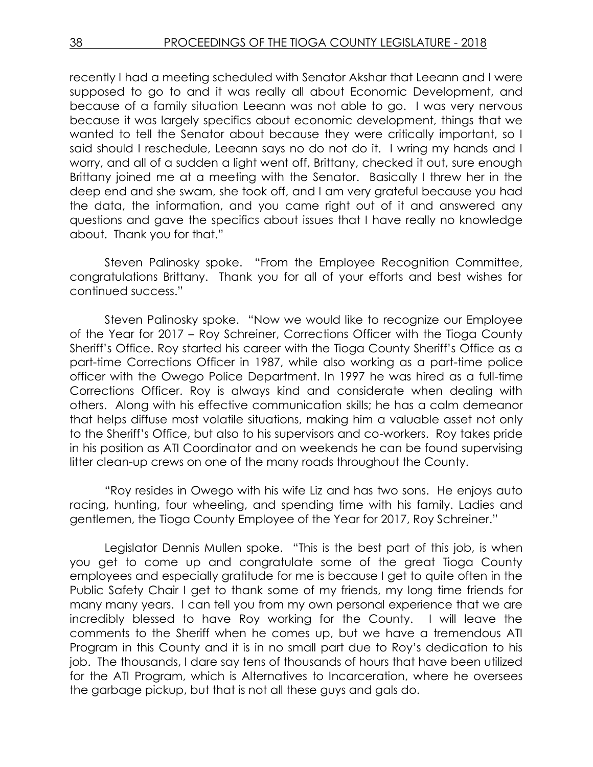recently I had a meeting scheduled with Senator Akshar that Leeann and I were supposed to go to and it was really all about Economic Development, and because of a family situation Leeann was not able to go. I was very nervous because it was largely specifics about economic development, things that we wanted to tell the Senator about because they were critically important, so I said should I reschedule, Leeann says no do not do it. I wring my hands and I worry, and all of a sudden a light went off, Brittany, checked it out, sure enough Brittany joined me at a meeting with the Senator. Basically I threw her in the deep end and she swam, she took off, and I am very grateful because you had the data, the information, and you came right out of it and answered any questions and gave the specifics about issues that I have really no knowledge about. Thank you for that."

Steven Palinosky spoke. "From the Employee Recognition Committee, congratulations Brittany. Thank you for all of your efforts and best wishes for continued success."

Steven Palinosky spoke. "Now we would like to recognize our Employee of the Year for 2017 – Roy Schreiner, Corrections Officer with the Tioga County Sheriff's Office. Roy started his career with the Tioga County Sheriff's Office as a part-time Corrections Officer in 1987, while also working as a part-time police officer with the Owego Police Department. In 1997 he was hired as a full-time Corrections Officer. Roy is always kind and considerate when dealing with others. Along with his effective communication skills; he has a calm demeanor that helps diffuse most volatile situations, making him a valuable asset not only to the Sheriff's Office, but also to his supervisors and co-workers. Roy takes pride in his position as ATI Coordinator and on weekends he can be found supervising litter clean-up crews on one of the many roads throughout the County.

"Roy resides in Owego with his wife Liz and has two sons. He enjoys auto racing, hunting, four wheeling, and spending time with his family. Ladies and gentlemen, the Tioga County Employee of the Year for 2017, Roy Schreiner."

Legislator Dennis Mullen spoke. "This is the best part of this job, is when you get to come up and congratulate some of the great Tioga County employees and especially gratitude for me is because I get to quite often in the Public Safety Chair I get to thank some of my friends, my long time friends for many many years. I can tell you from my own personal experience that we are incredibly blessed to have Roy working for the County. I will leave the comments to the Sheriff when he comes up, but we have a tremendous ATI Program in this County and it is in no small part due to Roy's dedication to his job. The thousands, I dare say tens of thousands of hours that have been utilized for the ATI Program, which is Alternatives to Incarceration, where he oversees the garbage pickup, but that is not all these guys and gals do.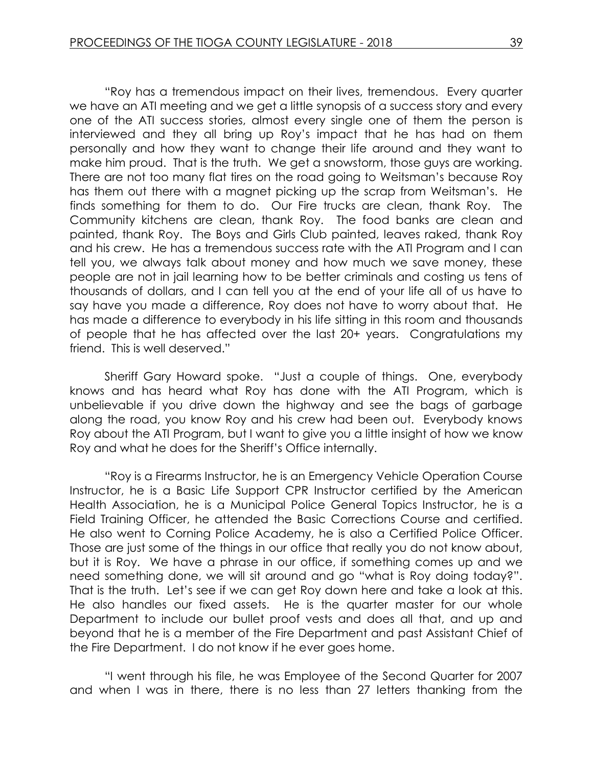"Roy has a tremendous impact on their lives, tremendous. Every quarter we have an ATI meeting and we get a little synopsis of a success story and every one of the ATI success stories, almost every single one of them the person is interviewed and they all bring up Roy's impact that he has had on them personally and how they want to change their life around and they want to make him proud. That is the truth. We get a snowstorm, those guys are working. There are not too many flat tires on the road going to Weitsman's because Roy has them out there with a magnet picking up the scrap from Weitsman's. He finds something for them to do. Our Fire trucks are clean, thank Roy. The Community kitchens are clean, thank Roy. The food banks are clean and painted, thank Roy. The Boys and Girls Club painted, leaves raked, thank Roy and his crew. He has a tremendous success rate with the ATI Program and I can tell you, we always talk about money and how much we save money, these people are not in jail learning how to be better criminals and costing us tens of thousands of dollars, and I can tell you at the end of your life all of us have to say have you made a difference, Roy does not have to worry about that. He has made a difference to everybody in his life sitting in this room and thousands of people that he has affected over the last 20+ years. Congratulations my friend. This is well deserved."

Sheriff Gary Howard spoke. "Just a couple of things. One, everybody knows and has heard what Roy has done with the ATI Program, which is unbelievable if you drive down the highway and see the bags of garbage along the road, you know Roy and his crew had been out. Everybody knows Roy about the ATI Program, but I want to give you a little insight of how we know Roy and what he does for the Sheriff's Office internally.

"Roy is a Firearms Instructor, he is an Emergency Vehicle Operation Course Instructor, he is a Basic Life Support CPR Instructor certified by the American Health Association, he is a Municipal Police General Topics Instructor, he is a Field Training Officer, he attended the Basic Corrections Course and certified. He also went to Corning Police Academy, he is also a Certified Police Officer. Those are just some of the things in our office that really you do not know about, but it is Roy. We have a phrase in our office, if something comes up and we need something done, we will sit around and go "what is Roy doing today?". That is the truth. Let's see if we can get Roy down here and take a look at this. He also handles our fixed assets. He is the quarter master for our whole Department to include our bullet proof vests and does all that, and up and beyond that he is a member of the Fire Department and past Assistant Chief of the Fire Department. I do not know if he ever goes home.

"I went through his file, he was Employee of the Second Quarter for 2007 and when I was in there, there is no less than 27 letters thanking from the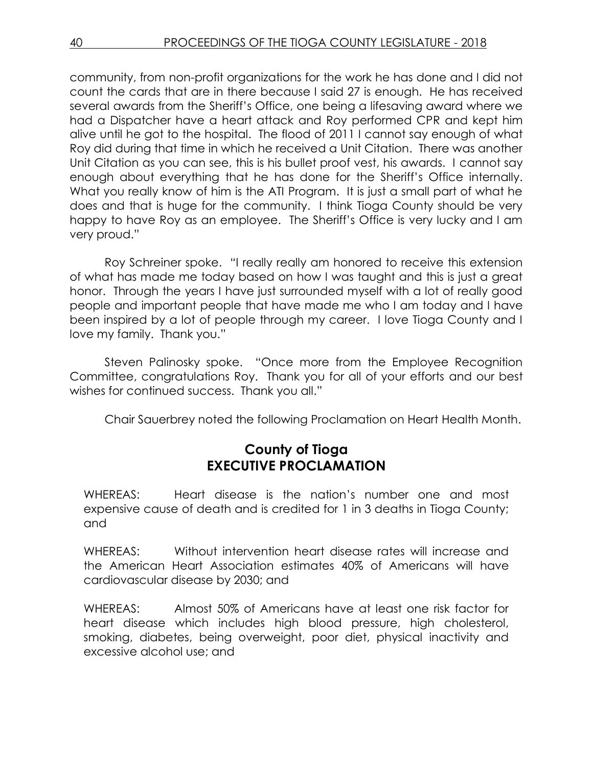community, from non-profit organizations for the work he has done and I did not count the cards that are in there because I said 27 is enough. He has received several awards from the Sheriff's Office, one being a lifesaving award where we had a Dispatcher have a heart attack and Roy performed CPR and kept him alive until he got to the hospital. The flood of 2011 I cannot say enough of what Roy did during that time in which he received a Unit Citation. There was another Unit Citation as you can see, this is his bullet proof vest, his awards. I cannot say enough about everything that he has done for the Sheriff's Office internally. What you really know of him is the ATI Program. It is just a small part of what he does and that is huge for the community. I think Tioga County should be very happy to have Roy as an employee. The Sheriff's Office is very lucky and I am very proud."

Roy Schreiner spoke. "I really really am honored to receive this extension of what has made me today based on how I was taught and this is just a great honor. Through the years I have just surrounded myself with a lot of really good people and important people that have made me who I am today and I have been inspired by a lot of people through my career. I love Tioga County and I love my family. Thank you."

Steven Palinosky spoke. "Once more from the Employee Recognition Committee, congratulations Roy. Thank you for all of your efforts and our best wishes for continued success. Thank you all."

Chair Sauerbrey noted the following Proclamation on Heart Health Month.

# **County of Tioga EXECUTIVE PROCLAMATION**

WHEREAS: Heart disease is the nation's number one and most expensive cause of death and is credited for 1 in 3 deaths in Tioga County; and

WHEREAS: Without intervention heart disease rates will increase and the American Heart Association estimates 40% of Americans will have cardiovascular disease by 2030; and

WHEREAS: Almost 50% of Americans have at least one risk factor for heart disease which includes high blood pressure, high cholesterol, smoking, diabetes, being overweight, poor diet, physical inactivity and excessive alcohol use; and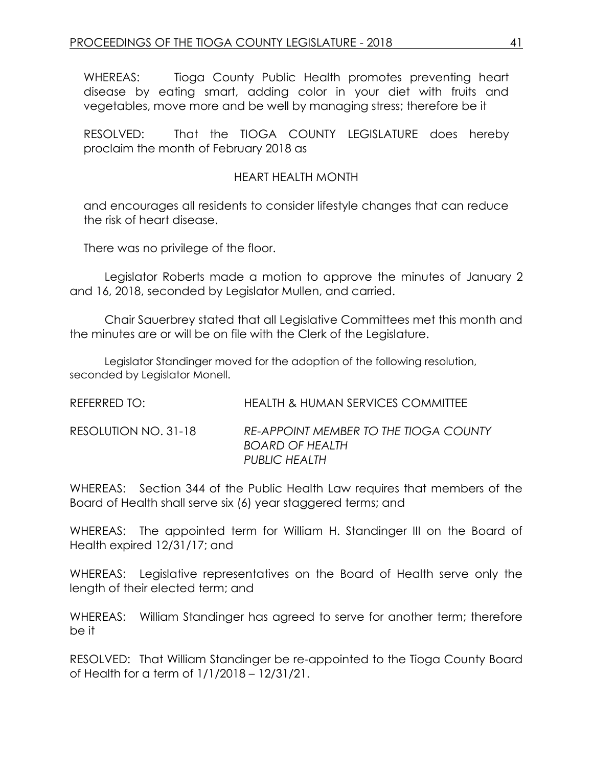WHEREAS: Tioga County Public Health promotes preventing heart disease by eating smart, adding color in your diet with fruits and vegetables, move more and be well by managing stress; therefore be it

RESOLVED: That the TIOGA COUNTY LEGISLATURE does hereby proclaim the month of February 2018 as

#### HEART HEALTH MONTH

and encourages all residents to consider lifestyle changes that can reduce the risk of heart disease.

There was no privilege of the floor.

Legislator Roberts made a motion to approve the minutes of January 2 and 16, 2018, seconded by Legislator Mullen, and carried.

Chair Sauerbrey stated that all Legislative Committees met this month and the minutes are or will be on file with the Clerk of the Legislature.

Legislator Standinger moved for the adoption of the following resolution, seconded by Legislator Monell.

| REFERRED TO: I       | HEALTH & HUMAN SERVICES COMMITTEE                                                |
|----------------------|----------------------------------------------------------------------------------|
| RESOLUTION NO. 31-18 | RE-APPOINT MEMBER TO THE TIOGA COUNTY<br><b>BOARD OF HEALTH</b><br>PUBLIC HEALTH |

WHEREAS: Section 344 of the Public Health Law requires that members of the Board of Health shall serve six (6) year staggered terms; and

WHEREAS: The appointed term for William H. Standinger III on the Board of Health expired 12/31/17; and

WHEREAS: Legislative representatives on the Board of Health serve only the length of their elected term; and

WHEREAS: William Standinger has agreed to serve for another term; therefore be it

RESOLVED: That William Standinger be re-appointed to the Tioga County Board of Health for a term of 1/1/2018 – 12/31/21.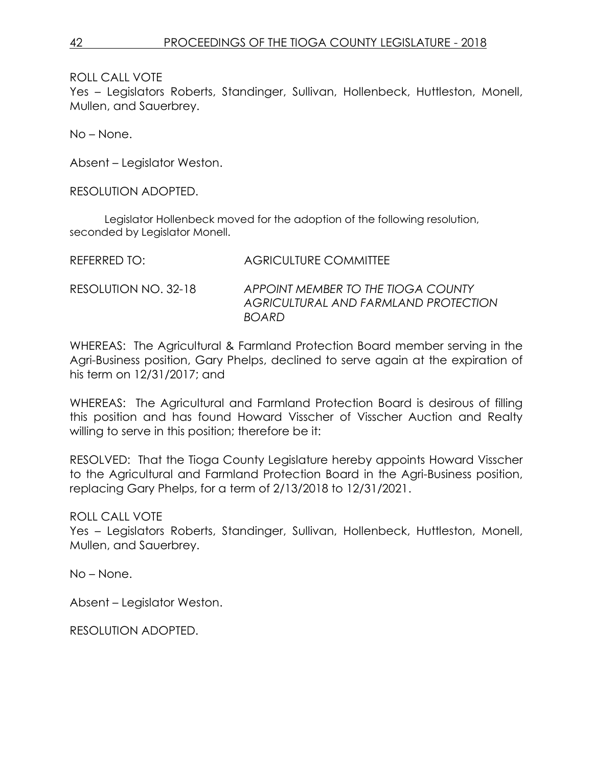ROLL CALL VOTE

Yes – Legislators Roberts, Standinger, Sullivan, Hollenbeck, Huttleston, Monell, Mullen, and Sauerbrey.

No – None.

Absent – Legislator Weston.

RESOLUTION ADOPTED.

Legislator Hollenbeck moved for the adoption of the following resolution, seconded by Legislator Monell.

| REFERRED TO:         | <b>AGRICULTURE COMMITTEE</b>                                                               |
|----------------------|--------------------------------------------------------------------------------------------|
| RESOLUTION NO. 32-18 | APPOINT MEMBER TO THE TIOGA COUNTY<br>AGRICULTURAL AND FARMLAND PROTECTION<br><b>BOARD</b> |

WHEREAS: The Agricultural & Farmland Protection Board member serving in the Agri-Business position, Gary Phelps, declined to serve again at the expiration of his term on 12/31/2017; and

WHEREAS: The Agricultural and Farmland Protection Board is desirous of filling this position and has found Howard Visscher of Visscher Auction and Realty willing to serve in this position; therefore be it:

RESOLVED: That the Tioga County Legislature hereby appoints Howard Visscher to the Agricultural and Farmland Protection Board in the Agri-Business position, replacing Gary Phelps, for a term of 2/13/2018 to 12/31/2021.

ROLL CALL VOTE

Yes – Legislators Roberts, Standinger, Sullivan, Hollenbeck, Huttleston, Monell, Mullen, and Sauerbrey.

No – None.

Absent – Legislator Weston.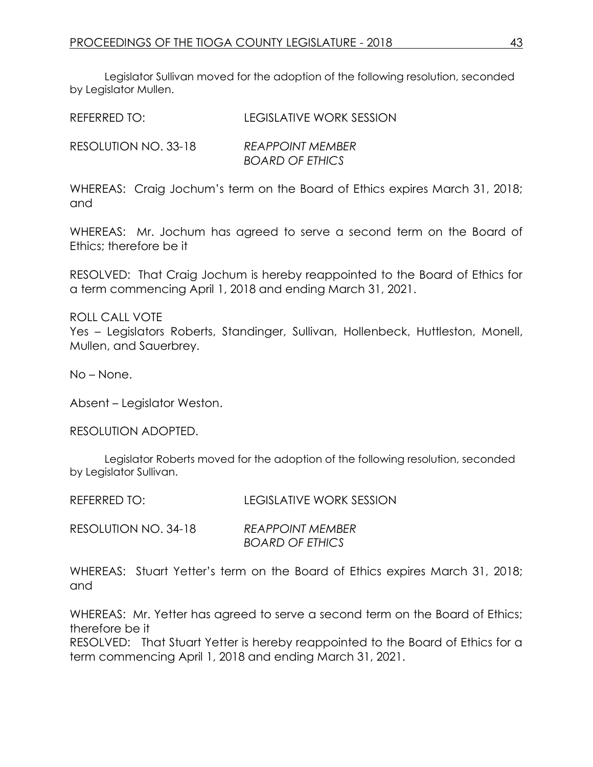Legislator Sullivan moved for the adoption of the following resolution, seconded by Legislator Mullen.

| REFERRED TO:         | LEGISLATIVE WORK SESSION                          |
|----------------------|---------------------------------------------------|
| RESOLUTION NO. 33-18 | <b>REAPPOINT MEMBER</b><br><b>BOARD OF ETHICS</b> |

WHEREAS: Craig Jochum's term on the Board of Ethics expires March 31, 2018; and

WHEREAS: Mr. Jochum has agreed to serve a second term on the Board of Ethics; therefore be it

RESOLVED: That Craig Jochum is hereby reappointed to the Board of Ethics for a term commencing April 1, 2018 and ending March 31, 2021.

ROLL CALL VOTE Yes – Legislators Roberts, Standinger, Sullivan, Hollenbeck, Huttleston, Monell, Mullen, and Sauerbrey.

No – None.

Absent – Legislator Weston.

RESOLUTION ADOPTED.

Legislator Roberts moved for the adoption of the following resolution, seconded by Legislator Sullivan.

REFERRED TO: LEGISLATIVE WORK SESSION

RESOLUTION NO. 34-18 *REAPPOINT MEMBER BOARD OF ETHICS* 

WHEREAS: Stuart Yetter's term on the Board of Ethics expires March 31, 2018; and

WHEREAS: Mr. Yetter has agreed to serve a second term on the Board of Ethics; therefore be it

RESOLVED: That Stuart Yetter is hereby reappointed to the Board of Ethics for a term commencing April 1, 2018 and ending March 31, 2021.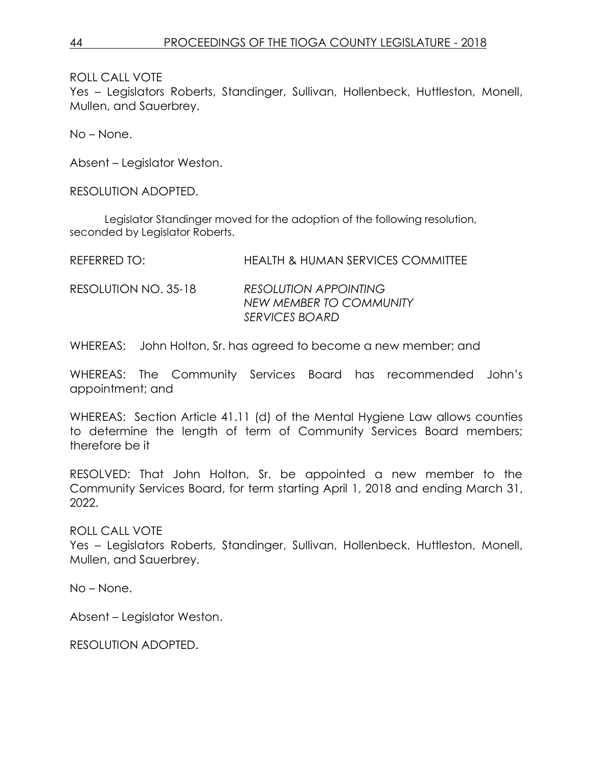ROLL CALL VOTE

Yes – Legislators Roberts, Standinger, Sullivan, Hollenbeck, Huttleston, Monell, Mullen, and Sauerbrey.

No – None.

Absent – Legislator Weston.

RESOLUTION ADOPTED.

Legislator Standinger moved for the adoption of the following resolution, seconded by Legislator Roberts.

| REFERRED TO:         | <b>HEALTH &amp; HUMAN SERVICES COMMITTEE</b>                              |
|----------------------|---------------------------------------------------------------------------|
| RESOLUTION NO. 35-18 | <b>RESOLUTION APPOINTING</b><br>NEW MEMBER TO COMMUNITY<br>SERVICES BOARD |

WHEREAS: John Holton, Sr. has agreed to become a new member; and

WHEREAS: The Community Services Board has recommended John's appointment; and

WHEREAS: Section Article 41.11 (d) of the Mental Hygiene Law allows counties to determine the length of term of Community Services Board members; therefore be it

RESOLVED: That John Holton, Sr. be appointed a new member to the Community Services Board, for term starting April 1, 2018 and ending March 31, 2022.

ROLL CALL VOTE

Yes – Legislators Roberts, Standinger, Sullivan, Hollenbeck, Huttleston, Monell, Mullen, and Sauerbrey.

No – None.

Absent – Legislator Weston.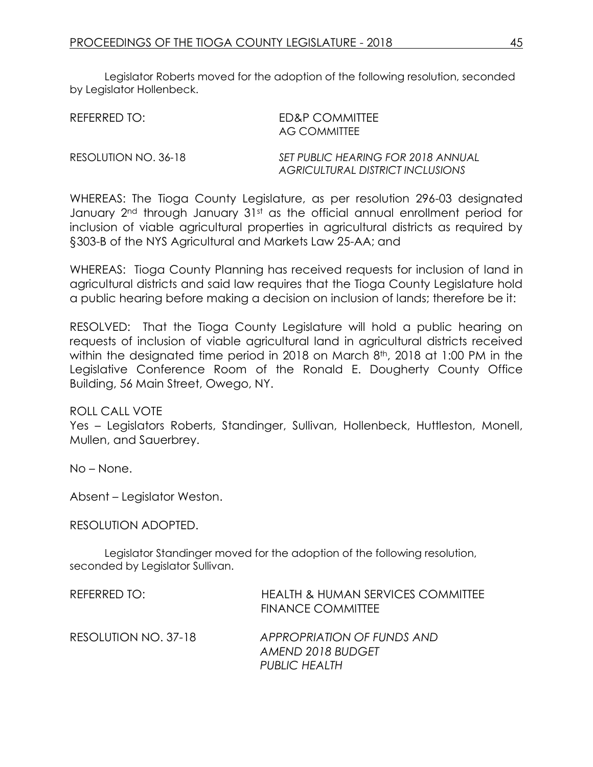Legislator Roberts moved for the adoption of the following resolution, seconded by Legislator Hollenbeck.

| REFERRED TO:         | ED&P COMMITTEE<br>AG COMMITTEE                                         |
|----------------------|------------------------------------------------------------------------|
| RESOLUTION NO. 36-18 | SET PUBLIC HEARING FOR 2018 ANNUAL<br>AGRICULTURAL DISTRICT INCLUSIONS |

WHEREAS: The Tioga County Legislature, as per resolution 296-03 designated January 2<sup>nd</sup> through January 31<sup>st</sup> as the official annual enrollment period for inclusion of viable agricultural properties in agricultural districts as required by §303-B of the NYS Agricultural and Markets Law 25-AA; and

WHEREAS: Tioga County Planning has received requests for inclusion of land in agricultural districts and said law requires that the Tioga County Legislature hold a public hearing before making a decision on inclusion of lands; therefore be it:

RESOLVED: That the Tioga County Legislature will hold a public hearing on requests of inclusion of viable agricultural land in agricultural districts received within the designated time period in 2018 on March 8<sup>th</sup>, 2018 at 1:00 PM in the Legislative Conference Room of the Ronald E. Dougherty County Office Building, 56 Main Street, Owego, NY.

ROLL CALL VOTE

Yes – Legislators Roberts, Standinger, Sullivan, Hollenbeck, Huttleston, Monell, Mullen, and Sauerbrey.

No – None.

Absent – Legislator Weston.

RESOLUTION ADOPTED.

Legislator Standinger moved for the adoption of the following resolution, seconded by Legislator Sullivan.

| REFERRED TO:         | HEALTH & HUMAN SERVICES COMMITTEE<br><b>FINANCE COMMITTEE</b>    |
|----------------------|------------------------------------------------------------------|
| RESOLUTION NO. 37-18 | APPROPRIATION OF FUNDS AND<br>AMEND 2018 BUDGET<br>PUBLIC HEALTH |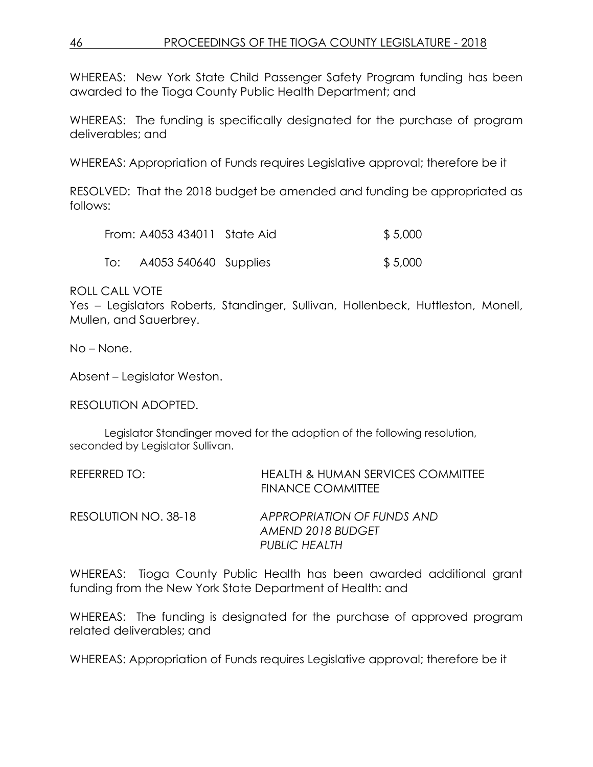WHEREAS: New York State Child Passenger Safety Program funding has been awarded to the Tioga County Public Health Department; and

WHEREAS: The funding is specifically designated for the purchase of program deliverables; and

WHEREAS: Appropriation of Funds requires Legislative approval; therefore be it

RESOLVED: That the 2018 budget be amended and funding be appropriated as follows:

|     | From: A4053 434011 State Aid | \$5,000 |
|-----|------------------------------|---------|
| To: | A4053 540640 Supplies        | \$5,000 |

ROLL CALL VOTE

Yes – Legislators Roberts, Standinger, Sullivan, Hollenbeck, Huttleston, Monell, Mullen, and Sauerbrey.

No – None.

Absent – Legislator Weston.

RESOLUTION ADOPTED.

Legislator Standinger moved for the adoption of the following resolution, seconded by Legislator Sullivan.

| REFERRED TO:         | HEALTH & HUMAN SERVICES COMMITTEE<br>FINANCE COMMITTEE |
|----------------------|--------------------------------------------------------|
| RESOLUTION NO. 38-18 | APPROPRIATION OF FUNDS AND<br>AMEND 2018 BUDGET        |
|                      | <b>PUBLIC HEALTH</b>                                   |

WHEREAS: Tioga County Public Health has been awarded additional grant funding from the New York State Department of Health: and

WHEREAS: The funding is designated for the purchase of approved program related deliverables; and

WHEREAS: Appropriation of Funds requires Legislative approval; therefore be it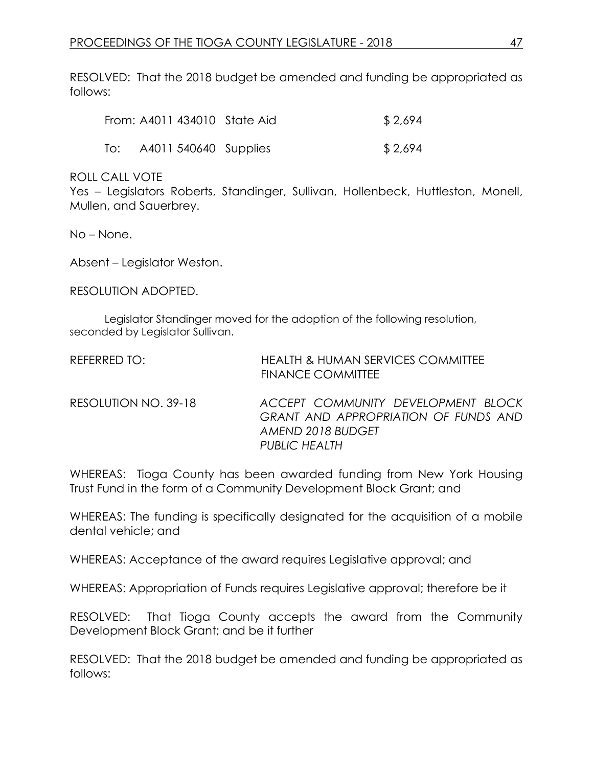RESOLVED: That the 2018 budget be amended and funding be appropriated as follows:

| From: A4011 434010 State Aid | \$2,694 |
|------------------------------|---------|
| To: A4011 540640 Supplies    | \$2,694 |

ROLL CALL VOTE

Yes – Legislators Roberts, Standinger, Sullivan, Hollenbeck, Huttleston, Monell, Mullen, and Sauerbrey.

No – None.

Absent – Legislator Weston.

RESOLUTION ADOPTED.

Legislator Standinger moved for the adoption of the following resolution, seconded by Legislator Sullivan.

| REFERRED TO:         | <b>HEALTH &amp; HUMAN SERVICES COMMITTEE</b><br><b>FINANCE COMMITTEE</b>                                                |
|----------------------|-------------------------------------------------------------------------------------------------------------------------|
| RESOLUTION NO. 39-18 | ACCEPT COMMUNITY DEVELOPMENT BLOCK<br>GRANT AND APPROPRIATION OF FUNDS AND<br>AMEND 2018 BUDGET<br><b>PUBLIC HEALTH</b> |

WHEREAS: Tioga County has been awarded funding from New York Housing Trust Fund in the form of a Community Development Block Grant; and

WHEREAS: The funding is specifically designated for the acquisition of a mobile dental vehicle; and

WHEREAS: Acceptance of the award requires Legislative approval; and

WHEREAS: Appropriation of Funds requires Legislative approval; therefore be it

RESOLVED: That Tioga County accepts the award from the Community Development Block Grant; and be it further

RESOLVED: That the 2018 budget be amended and funding be appropriated as follows: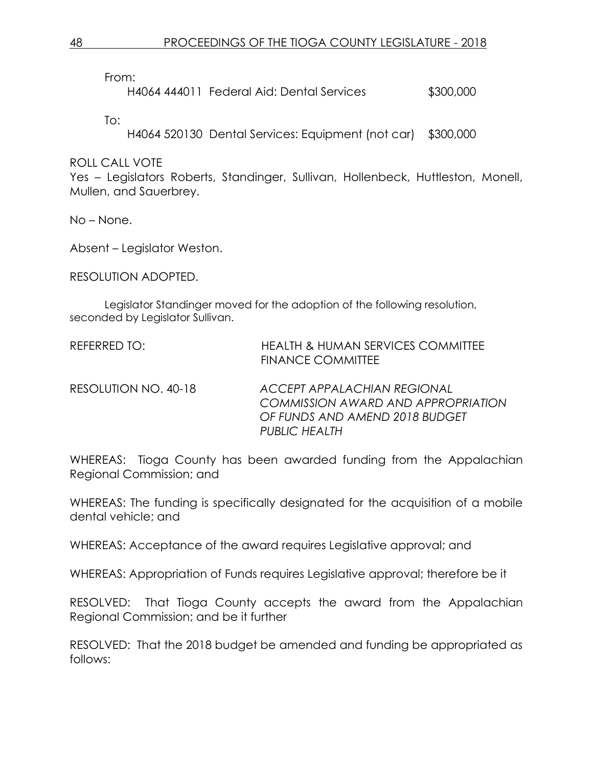From:

H4064 444011 Federal Aid: Dental Services \$300,000

To:

H4064 520130 Dental Services: Equipment (not car) \$300,000

ROLL CALL VOTE

Yes – Legislators Roberts, Standinger, Sullivan, Hollenbeck, Huttleston, Monell, Mullen, and Sauerbrey.

No – None.

Absent – Legislator Weston.

RESOLUTION ADOPTED.

Legislator Standinger moved for the adoption of the following resolution, seconded by Legislator Sullivan.

| REFERRED TO:         | <b>HEALTH &amp; HUMAN SERVICES COMMITTEE</b><br><b>FINANCE COMMITTEE</b>                                                    |
|----------------------|-----------------------------------------------------------------------------------------------------------------------------|
| RESOLUTION NO. 40-18 | ACCEPT APPALACHIAN REGIONAL<br>COMMISSION AWARD AND APPROPRIATION<br>OF FUNDS AND AMEND 2018 BUDGET<br><b>PUBLIC HEALTH</b> |

WHEREAS: Tioga County has been awarded funding from the Appalachian Regional Commission; and

WHEREAS: The funding is specifically designated for the acquisition of a mobile dental vehicle; and

WHEREAS: Acceptance of the award requires Legislative approval; and

WHEREAS: Appropriation of Funds requires Legislative approval; therefore be it

RESOLVED: That Tioga County accepts the award from the Appalachian Regional Commission; and be it further

RESOLVED: That the 2018 budget be amended and funding be appropriated as follows: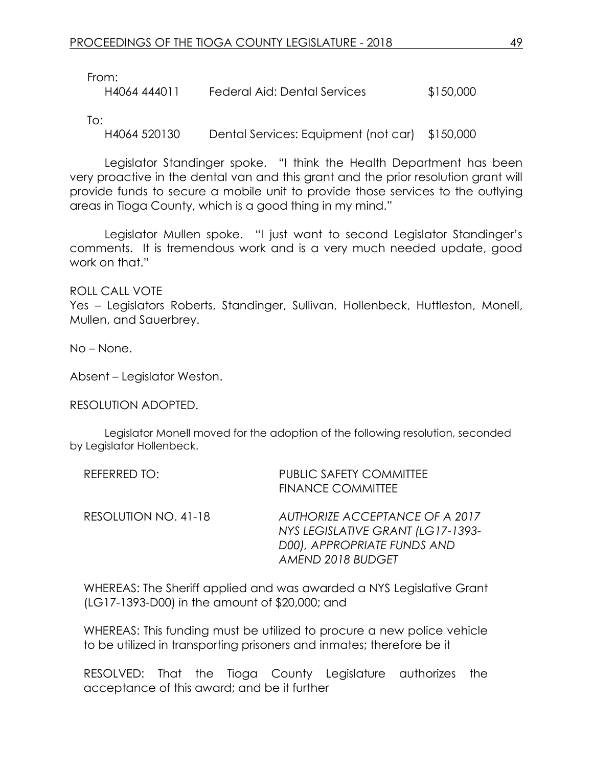From:

H4064 444011 Federal Aid: Dental Services \$150,000

To:

H4064 520130 Dental Services: Equipment (not car) \$150,000

Legislator Standinger spoke. "I think the Health Department has been very proactive in the dental van and this grant and the prior resolution grant will provide funds to secure a mobile unit to provide those services to the outlying areas in Tioga County, which is a good thing in my mind."

Legislator Mullen spoke. "I just want to second Legislator Standinger's comments. It is tremendous work and is a very much needed update, good work on that."

ROLL CALL VOTE Yes – Legislators Roberts, Standinger, Sullivan, Hollenbeck, Huttleston, Monell, Mullen, and Sauerbrey.

No – None.

Absent – Legislator Weston.

RESOLUTION ADOPTED.

Legislator Monell moved for the adoption of the following resolution, seconded by Legislator Hollenbeck.

| REFERRED TO:         | PUBLIC SAFETY COMMITTEE<br><b>FINANCE COMMITTEE</b>                                                                     |
|----------------------|-------------------------------------------------------------------------------------------------------------------------|
| RESOLUTION NO. 41-18 | AUTHORIZE ACCEPTANCE OF A 2017<br>NYS LEGISLATIVE GRANT (LG17-1393-<br>D00), APPROPRIATE FUNDS AND<br>AMEND 2018 BUDGET |

WHEREAS: The Sheriff applied and was awarded a NYS Legislative Grant (LG17-1393-D00) in the amount of \$20,000; and

WHEREAS: This funding must be utilized to procure a new police vehicle to be utilized in transporting prisoners and inmates; therefore be it

RESOLVED: That the Tioga County Legislature authorizes the acceptance of this award; and be it further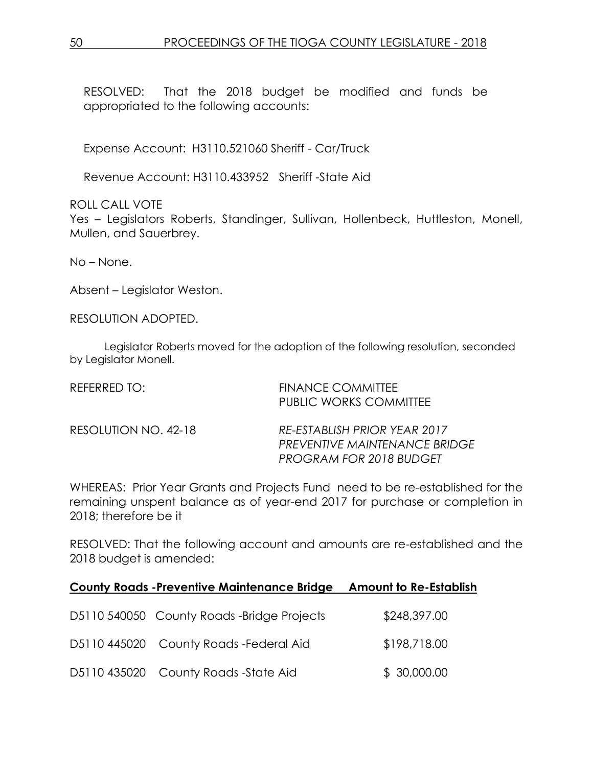RESOLVED: That the 2018 budget be modified and funds be appropriated to the following accounts:

Expense Account: H3110.521060 Sheriff - Car/Truck

Revenue Account: H3110.433952 Sheriff -State Aid

ROLL CALL VOTE

Yes – Legislators Roberts, Standinger, Sullivan, Hollenbeck, Huttleston, Monell, Mullen, and Sauerbrey.

No – None.

Absent – Legislator Weston.

RESOLUTION ADOPTED.

Legislator Roberts moved for the adoption of the following resolution, seconded by Legislator Monell.

| REFERRED TO:         | <b>FINANCE COMMITTEE</b><br>PUBLIC WORKS COMMITTEE                                              |
|----------------------|-------------------------------------------------------------------------------------------------|
| RESOLUTION NO. 42-18 | RE-ESTABLISH PRIOR YEAR 2017<br>PREVENTIVE MAINTENANCE BRIDGE<br><b>PROGRAM FOR 2018 BUDGET</b> |

WHEREAS: Prior Year Grants and Projects Fund need to be re-established for the remaining unspent balance as of year-end 2017 for purchase or completion in 2018; therefore be it

RESOLVED: That the following account and amounts are re-established and the 2018 budget is amended:

| <b>County Roads -Preventive Maintenance Bridge</b> | <b>Amount to Re-Establish</b> |
|----------------------------------------------------|-------------------------------|
| D5110 540050 County Roads -Bridge Projects         | \$248,397.00                  |
| D5110 445020 County Roads - Federal Aid            | \$198,718.00                  |
| D5110 435020 County Roads -State Aid               | \$30,000.00                   |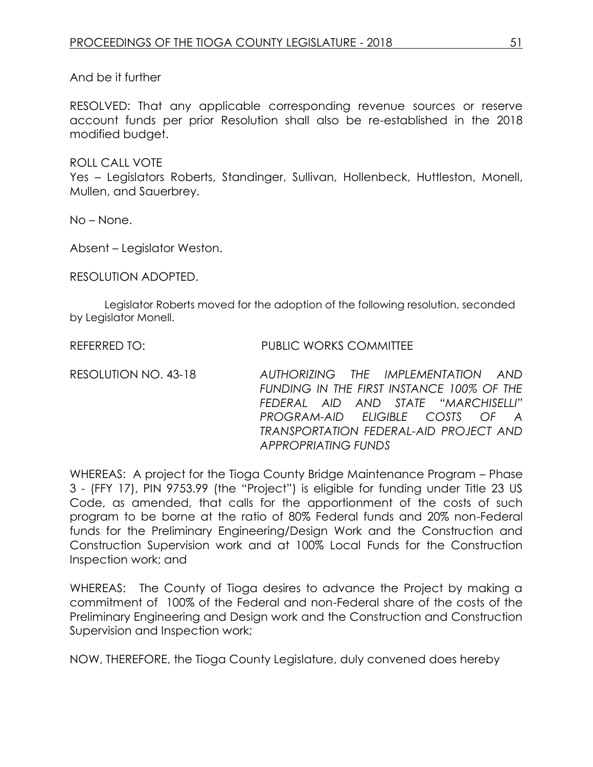And be it further

RESOLVED: That any applicable corresponding revenue sources or reserve account funds per prior Resolution shall also be re-established in the 2018 modified budget.

ROLL CALL VOTE Yes – Legislators Roberts, Standinger, Sullivan, Hollenbeck, Huttleston, Monell, Mullen, and Sauerbrey.

No – None.

Absent – Legislator Weston.

RESOLUTION ADOPTED.

Legislator Roberts moved for the adoption of the following resolution, seconded by Legislator Monell.

REFERRED TO: PUBLIC WORKS COMMITTEE

RESOLUTION NO. 43-18 *AUTHORIZING THE IMPLEMENTATION AND FUNDING IN THE FIRST INSTANCE 100% OF THE FEDERAL AID AND STATE "MARCHISELLI" PROGRAM-AID ELIGIBLE COSTS OF A TRANSPORTATION FEDERAL-AID PROJECT AND APPROPRIATING FUNDS*

WHEREAS: A project for the Tioga County Bridge Maintenance Program - Phase 3 - (FFY 17), PIN 9753.99 (the "Project") is eligible for funding under Title 23 US Code, as amended, that calls for the apportionment of the costs of such program to be borne at the ratio of 80% Federal funds and 20% non-Federal funds for the Preliminary Engineering/Design Work and the Construction and Construction Supervision work and at 100% Local Funds for the Construction Inspection work; and

WHEREAS: The County of Tioga desires to advance the Project by making a commitment of 100% of the Federal and non-Federal share of the costs of the Preliminary Engineering and Design work and the Construction and Construction Supervision and Inspection work;

NOW, THEREFORE, the Tioga County Legislature, duly convened does hereby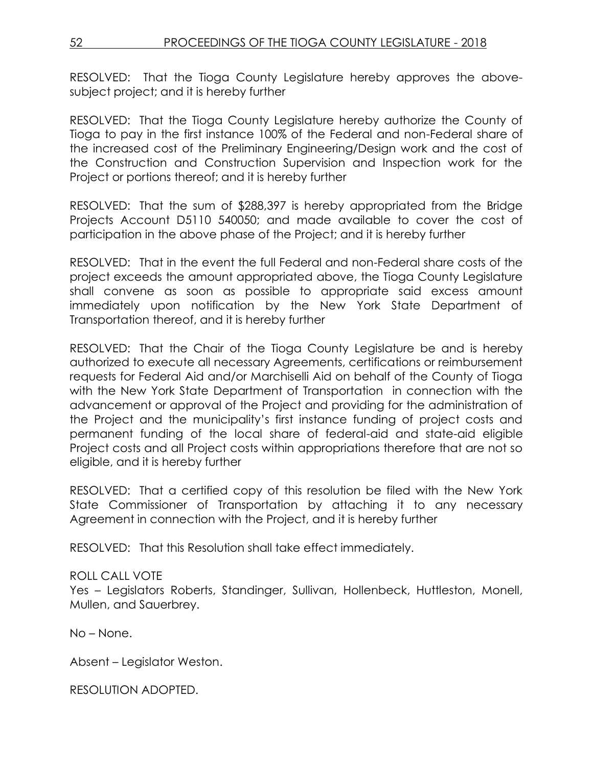RESOLVED: That the Tioga County Legislature hereby approves the abovesubject project; and it is hereby further

RESOLVED: That the Tioga County Legislature hereby authorize the County of Tioga to pay in the first instance 100% of the Federal and non-Federal share of the increased cost of the Preliminary Engineering/Design work and the cost of the Construction and Construction Supervision and Inspection work for the Project or portions thereof; and it is hereby further

RESOLVED: That the sum of \$288,397 is hereby appropriated from the Bridge Projects Account D5110 540050; and made available to cover the cost of participation in the above phase of the Project; and it is hereby further

RESOLVED: That in the event the full Federal and non-Federal share costs of the project exceeds the amount appropriated above, the Tioga County Legislature shall convene as soon as possible to appropriate said excess amount immediately upon notification by the New York State Department of Transportation thereof, and it is hereby further

RESOLVED: That the Chair of the Tioga County Legislature be and is hereby authorized to execute all necessary Agreements, certifications or reimbursement requests for Federal Aid and/or Marchiselli Aid on behalf of the County of Tioga with the New York State Department of Transportation in connection with the advancement or approval of the Project and providing for the administration of the Project and the municipality's first instance funding of project costs and permanent funding of the local share of federal-aid and state-aid eligible Project costs and all Project costs within appropriations therefore that are not so eligible, and it is hereby further

RESOLVED: That a certified copy of this resolution be filed with the New York State Commissioner of Transportation by attaching it to any necessary Agreement in connection with the Project, and it is hereby further

RESOLVED: That this Resolution shall take effect immediately.

## ROLL CALL VOTE

Yes – Legislators Roberts, Standinger, Sullivan, Hollenbeck, Huttleston, Monell, Mullen, and Sauerbrey.

No – None.

Absent – Legislator Weston.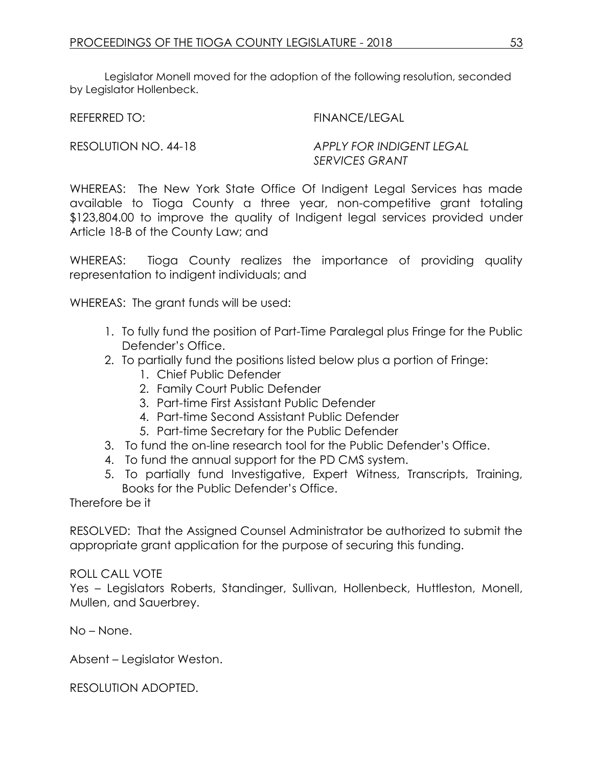Legislator Monell moved for the adoption of the following resolution, seconded by Legislator Hollenbeck.

REFERRED TO: FINANCE/LEGAL

RESOLUTION NO. 44-18 *APPLY FOR INDIGENT LEGAL SERVICES GRANT*

WHEREAS: The New York State Office Of Indigent Legal Services has made available to Tioga County a three year, non-competitive grant totaling \$123,804.00 to improve the quality of Indigent legal services provided under Article 18-B of the County Law; and

WHEREAS: Tioga County realizes the importance of providing quality representation to indigent individuals; and

WHEREAS: The grant funds will be used:

- 1. To fully fund the position of Part-Time Paralegal plus Fringe for the Public Defender's Office.
- 2. To partially fund the positions listed below plus a portion of Fringe:
	- 1. Chief Public Defender
	- 2. Family Court Public Defender
	- 3. Part-time First Assistant Public Defender
	- 4. Part-time Second Assistant Public Defender
	- 5. Part-time Secretary for the Public Defender
- 3. To fund the on-line research tool for the Public Defender's Office.
- 4. To fund the annual support for the PD CMS system.
- 5. To partially fund Investigative, Expert Witness, Transcripts, Training, Books for the Public Defender's Office.

Therefore be it

RESOLVED: That the Assigned Counsel Administrator be authorized to submit the appropriate grant application for the purpose of securing this funding.

## ROLL CALL VOTE

Yes – Legislators Roberts, Standinger, Sullivan, Hollenbeck, Huttleston, Monell, Mullen, and Sauerbrey.

No – None.

Absent – Legislator Weston.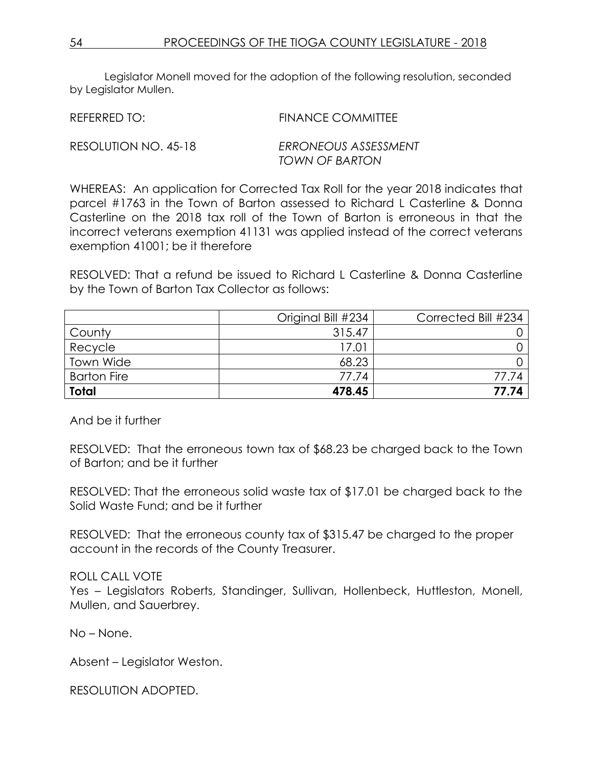Legislator Monell moved for the adoption of the following resolution, seconded by Legislator Mullen.

REFERRED TO: FINANCE COMMITTEE RESOLUTION NO. 45-18 *ERRONEOUS ASSESSMENT TOWN OF BARTON*

WHEREAS: An application for Corrected Tax Roll for the year 2018 indicates that parcel #1763 in the Town of Barton assessed to Richard L Casterline & Donna Casterline on the 2018 tax roll of the Town of Barton is erroneous in that the incorrect veterans exemption 41131 was applied instead of the correct veterans exemption 41001; be it therefore

RESOLVED: That a refund be issued to Richard L Casterline & Donna Casterline by the Town of Barton Tax Collector as follows:

|                    | Original Bill #234 | Corrected Bill #234 |
|--------------------|--------------------|---------------------|
| County             | 315.47             |                     |
| Recycle            | 17.01              |                     |
| Town Wide          | 68.23              |                     |
| <b>Barton Fire</b> | 77.74              | 77.74               |
| <b>Total</b>       | 478.45             | 77.74               |

And be it further

RESOLVED: That the erroneous town tax of \$68.23 be charged back to the Town of Barton; and be it further

RESOLVED: That the erroneous solid waste tax of \$17.01 be charged back to the Solid Waste Fund; and be it further

RESOLVED: That the erroneous county tax of \$315.47 be charged to the proper account in the records of the County Treasurer.

## ROLL CALL VOTE

Yes – Legislators Roberts, Standinger, Sullivan, Hollenbeck, Huttleston, Monell, Mullen, and Sauerbrey.

No – None.

Absent – Legislator Weston.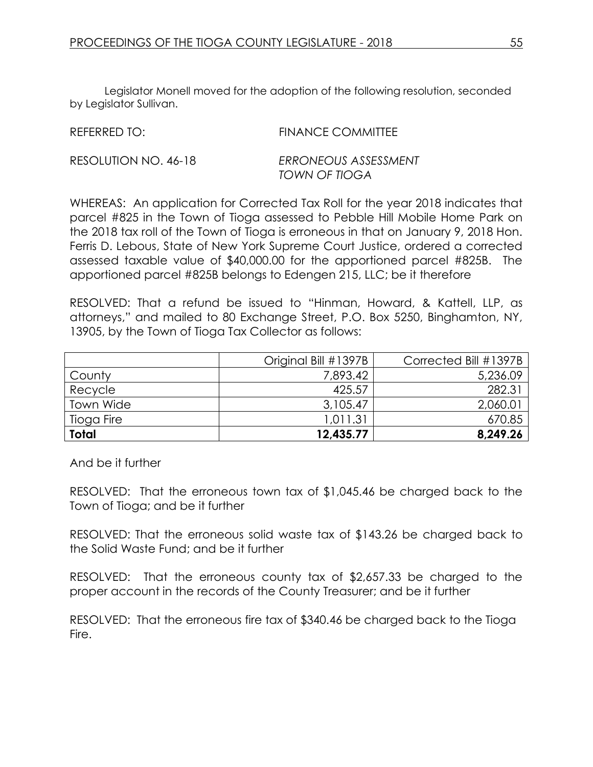Legislator Monell moved for the adoption of the following resolution, seconded by Legislator Sullivan.

REFERRED TO: FINANCE COMMITTEE

RESOLUTION NO. 46-18 *ERRONEOUS ASSESSMENT TOWN OF TIOGA*

WHEREAS: An application for Corrected Tax Roll for the year 2018 indicates that parcel #825 in the Town of Tioga assessed to Pebble Hill Mobile Home Park on the 2018 tax roll of the Town of Tioga is erroneous in that on January 9, 2018 Hon. Ferris D. Lebous, State of New York Supreme Court Justice, ordered a corrected assessed taxable value of \$40,000.00 for the apportioned parcel #825B. The apportioned parcel #825B belongs to Edengen 215, LLC; be it therefore

RESOLVED: That a refund be issued to "Hinman, Howard, & Kattell, LLP, as attorneys," and mailed to 80 Exchange Street, P.O. Box 5250, Binghamton, NY, 13905, by the Town of Tioga Tax Collector as follows:

|              | Original Bill #1397B | Corrected Bill #1397B |
|--------------|----------------------|-----------------------|
| County       | 7,893.42             | 5,236.09              |
| Recycle      | 425.57               | 282.31                |
| Town Wide    | 3,105.47             | 2,060.01              |
| Tioga Fire   | 1,011.31             | 670.85                |
| <b>Total</b> | 12,435.77            | 8,249.26              |

And be it further

RESOLVED: That the erroneous town tax of \$1,045.46 be charged back to the Town of Tioga; and be it further

RESOLVED: That the erroneous solid waste tax of \$143.26 be charged back to the Solid Waste Fund; and be it further

RESOLVED: That the erroneous county tax of \$2,657.33 be charged to the proper account in the records of the County Treasurer; and be it further

RESOLVED: That the erroneous fire tax of \$340.46 be charged back to the Tioga Fire.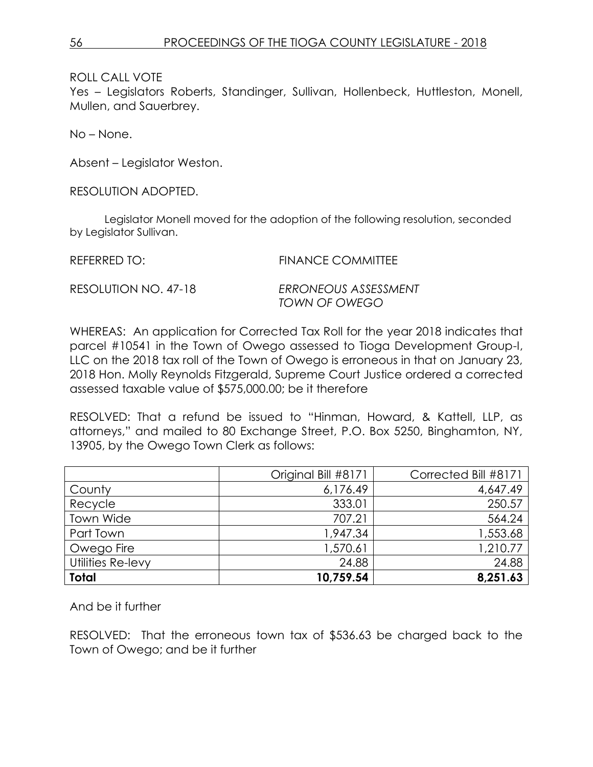ROLL CALL VOTE

Yes – Legislators Roberts, Standinger, Sullivan, Hollenbeck, Huttleston, Monell, Mullen, and Sauerbrey.

No – None.

Absent – Legislator Weston.

RESOLUTION ADOPTED.

Legislator Monell moved for the adoption of the following resolution, seconded by Legislator Sullivan.

REFERRED TO: FINANCE COMMITTEE RESOLUTION NO. 47-18 *ERRONEOUS ASSESSMENT*

WHEREAS: An application for Corrected Tax Roll for the year 2018 indicates that parcel #10541 in the Town of Owego assessed to Tioga Development Group-I, LLC on the 2018 tax roll of the Town of Owego is erroneous in that on January 23, 2018 Hon. Molly Reynolds Fitzgerald, Supreme Court Justice ordered a corrected assessed taxable value of \$575,000.00; be it therefore

*TOWN OF OWEGO*

RESOLVED: That a refund be issued to "Hinman, Howard, & Kattell, LLP, as attorneys," and mailed to 80 Exchange Street, P.O. Box 5250, Binghamton, NY, 13905, by the Owego Town Clerk as follows:

|                   | Original Bill #8171 | Corrected Bill #8171 |
|-------------------|---------------------|----------------------|
| County            | 6,176.49            | 4,647.49             |
| Recycle           | 333.01              | 250.57               |
| Town Wide         | 707.21              | 564.24               |
| Part Town         | 1,947.34            | 1,553.68             |
| Owego Fire        | 1,570.61            | 1,210.77             |
| Utilities Re-levy | 24.88               | 24.88                |
| <b>Total</b>      | 10,759.54           | 8,251.63             |

And be it further

RESOLVED: That the erroneous town tax of \$536.63 be charged back to the Town of Owego; and be it further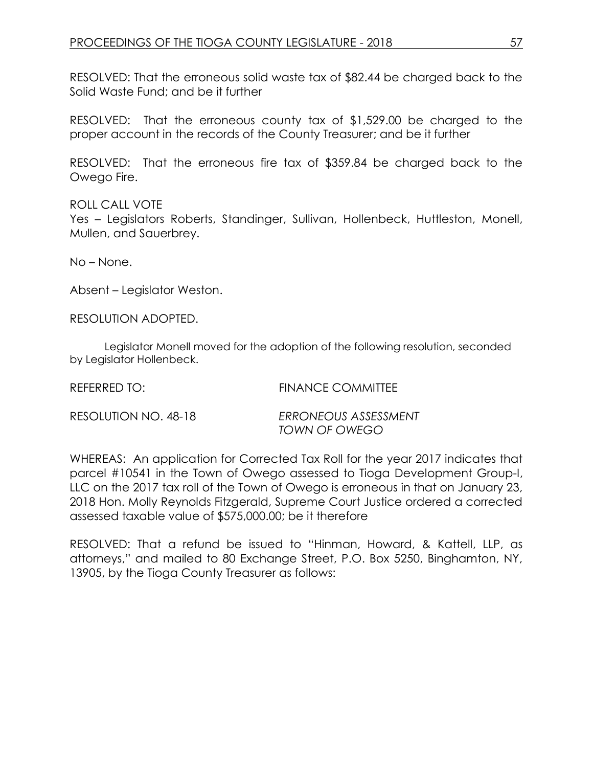RESOLVED: That the erroneous solid waste tax of \$82.44 be charged back to the Solid Waste Fund; and be it further

RESOLVED: That the erroneous county tax of \$1,529.00 be charged to the proper account in the records of the County Treasurer; and be it further

RESOLVED: That the erroneous fire tax of \$359.84 be charged back to the Owego Fire.

ROLL CALL VOTE Yes – Legislators Roberts, Standinger, Sullivan, Hollenbeck, Huttleston, Monell, Mullen, and Sauerbrey.

No – None.

Absent – Legislator Weston.

RESOLUTION ADOPTED.

Legislator Monell moved for the adoption of the following resolution, seconded by Legislator Hollenbeck.

REFERRED TO: FINANCE COMMITTEE

| RESOLUTION NO. 48-18 | ERRONEOUS ASSESSMENT |
|----------------------|----------------------|
|                      | TOWN OF OWEGO        |

WHEREAS: An application for Corrected Tax Roll for the year 2017 indicates that parcel #10541 in the Town of Owego assessed to Tioga Development Group-I, LLC on the 2017 tax roll of the Town of Owego is erroneous in that on January 23, 2018 Hon. Molly Reynolds Fitzgerald, Supreme Court Justice ordered a corrected assessed taxable value of \$575,000.00; be it therefore

RESOLVED: That a refund be issued to "Hinman, Howard, & Kattell, LLP, as attorneys," and mailed to 80 Exchange Street, P.O. Box 5250, Binghamton, NY, 13905, by the Tioga County Treasurer as follows: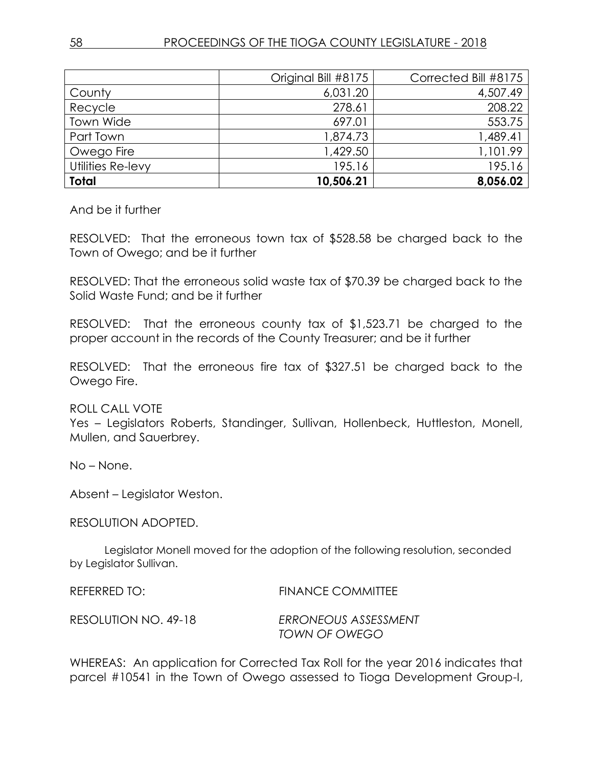|                   | Original Bill #8175 | Corrected Bill #8175 |
|-------------------|---------------------|----------------------|
| County            | 6,031.20            | 4,507.49             |
| Recycle           | 278.61              | 208.22               |
| Town Wide         | 697.01              | 553.75               |
| Part Town         | 1,874.73            | 1,489.41             |
| Owego Fire        | 1,429.50            | 1,101.99             |
| Utilities Re-levy | 195.16              | 195.16               |
| <b>Total</b>      | 10,506.21           | 8,056.02             |

And be it further

RESOLVED: That the erroneous town tax of \$528.58 be charged back to the Town of Owego; and be it further

RESOLVED: That the erroneous solid waste tax of \$70.39 be charged back to the Solid Waste Fund; and be it further

RESOLVED: That the erroneous county tax of \$1,523.71 be charged to the proper account in the records of the County Treasurer; and be it further

RESOLVED: That the erroneous fire tax of \$327.51 be charged back to the Owego Fire.

ROLL CALL VOTE

Yes – Legislators Roberts, Standinger, Sullivan, Hollenbeck, Huttleston, Monell, Mullen, and Sauerbrey.

No – None.

Absent – Legislator Weston.

RESOLUTION ADOPTED.

Legislator Monell moved for the adoption of the following resolution, seconded by Legislator Sullivan.

| REFERRED TO:         | <b>FINANCE COMMITTEE</b> |
|----------------------|--------------------------|
| RESOLUTION NO. 49-18 | ERRONEOUS ASSESSMENT     |
|                      | TOWN OF OWEGO            |

WHEREAS: An application for Corrected Tax Roll for the year 2016 indicates that parcel #10541 in the Town of Owego assessed to Tioga Development Group-I,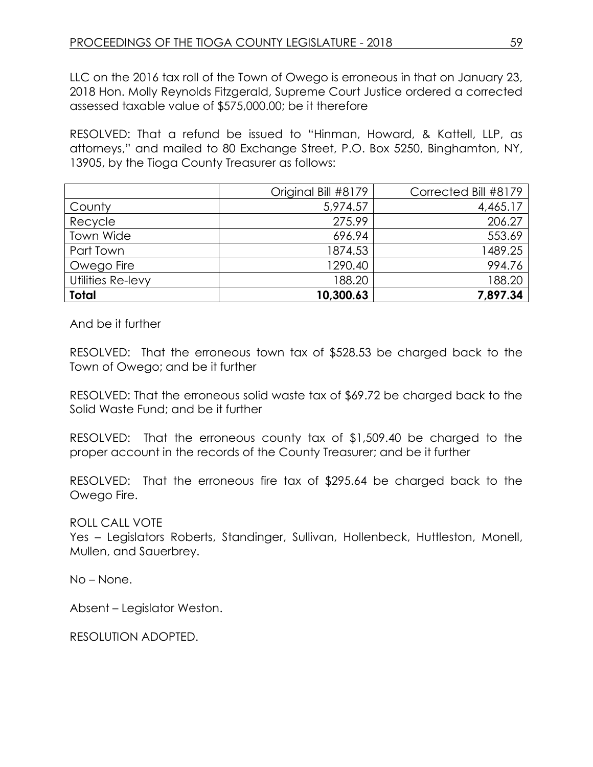LLC on the 2016 tax roll of the Town of Owego is erroneous in that on January 23, 2018 Hon. Molly Reynolds Fitzgerald, Supreme Court Justice ordered a corrected assessed taxable value of \$575,000.00; be it therefore

RESOLVED: That a refund be issued to "Hinman, Howard, & Kattell, LLP, as attorneys," and mailed to 80 Exchange Street, P.O. Box 5250, Binghamton, NY, 13905, by the Tioga County Treasurer as follows:

|                   | Original Bill #8179 | Corrected Bill #8179 |
|-------------------|---------------------|----------------------|
| County            | 5,974.57            | 4,465.17             |
| Recycle           | 275.99              | 206.27               |
| Town Wide         | 696.94              | 553.69               |
| Part Town         | 1874.53             | 1489.25              |
| Owego Fire        | 1290.40             | 994.76               |
| Utilities Re-levy | 188.20              | 188.20               |
| Total             | 10,300.63           | 7,897.34             |

And be it further

RESOLVED: That the erroneous town tax of \$528.53 be charged back to the Town of Owego; and be it further

RESOLVED: That the erroneous solid waste tax of \$69.72 be charged back to the Solid Waste Fund; and be it further

RESOLVED: That the erroneous county tax of \$1,509.40 be charged to the proper account in the records of the County Treasurer; and be it further

RESOLVED: That the erroneous fire tax of \$295.64 be charged back to the Owego Fire.

ROLL CALL VOTE

Yes – Legislators Roberts, Standinger, Sullivan, Hollenbeck, Huttleston, Monell, Mullen, and Sauerbrey.

No – None.

Absent – Legislator Weston.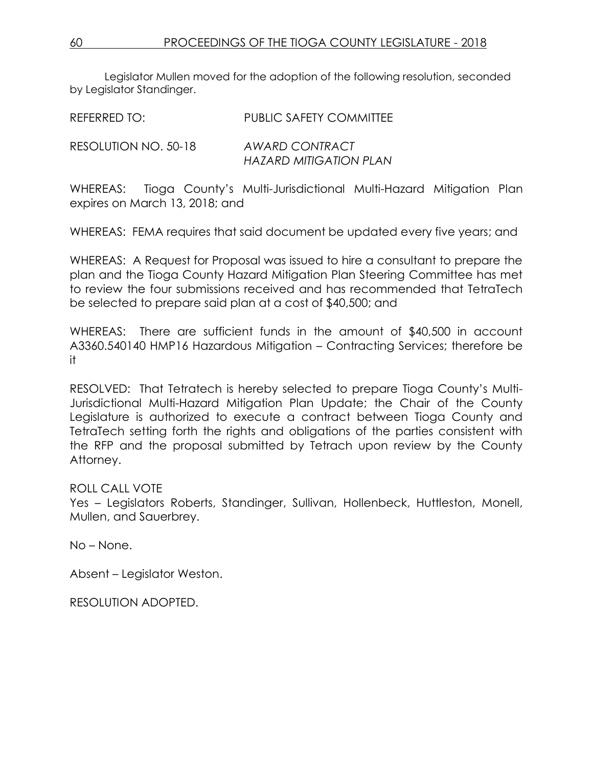Legislator Mullen moved for the adoption of the following resolution, seconded by Legislator Standinger.

REFERRED TO: PUBLIC SAFETY COMMITTEE RESOLUTION NO. 50-18 *AWARD CONTRACT HAZARD MITIGATION PLAN* 

WHEREAS: Tioga County's Multi-Jurisdictional Multi-Hazard Mitigation Plan expires on March 13, 2018; and

WHEREAS: FEMA requires that said document be updated every five years; and

WHEREAS: A Request for Proposal was issued to hire a consultant to prepare the plan and the Tioga County Hazard Mitigation Plan Steering Committee has met to review the four submissions received and has recommended that TetraTech be selected to prepare said plan at a cost of \$40,500; and

WHEREAS: There are sufficient funds in the amount of \$40,500 in account A3360.540140 HMP16 Hazardous Mitigation – Contracting Services; therefore be it

RESOLVED: That Tetratech is hereby selected to prepare Tioga County's Multi-Jurisdictional Multi-Hazard Mitigation Plan Update; the Chair of the County Legislature is authorized to execute a contract between Tioga County and TetraTech setting forth the rights and obligations of the parties consistent with the RFP and the proposal submitted by Tetrach upon review by the County Attorney.

## ROLL CALL VOTE

Yes – Legislators Roberts, Standinger, Sullivan, Hollenbeck, Huttleston, Monell, Mullen, and Sauerbrey.

No – None.

Absent – Legislator Weston.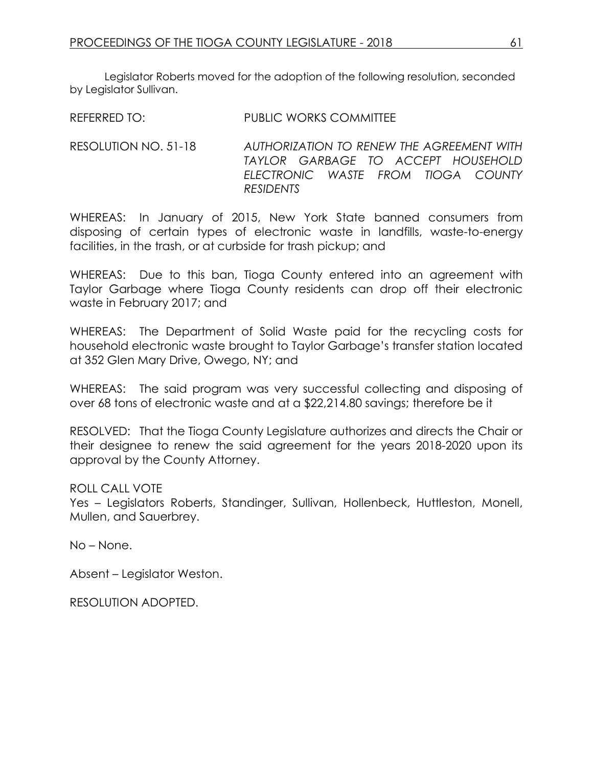Legislator Roberts moved for the adoption of the following resolution, seconded by Legislator Sullivan.

REFERRED TO: PUBLIC WORKS COMMITTEE

RESOLUTION NO. 51-18 *AUTHORIZATION TO RENEW THE AGREEMENT WITH TAYLOR GARBAGE TO ACCEPT HOUSEHOLD ELECTRONIC WASTE FROM TIOGA COUNTY RESIDENTS*

WHEREAS: In January of 2015, New York State banned consumers from disposing of certain types of electronic waste in landfills, waste-to-energy facilities, in the trash, or at curbside for trash pickup; and

WHEREAS: Due to this ban, Tioga County entered into an agreement with Taylor Garbage where Tioga County residents can drop off their electronic waste in February 2017; and

WHEREAS: The Department of Solid Waste paid for the recycling costs for household electronic waste brought to Taylor Garbage's transfer station located at 352 Glen Mary Drive, Owego, NY; and

WHEREAS: The said program was very successful collecting and disposing of over 68 tons of electronic waste and at a \$22,214.80 savings; therefore be it

RESOLVED: That the Tioga County Legislature authorizes and directs the Chair or their designee to renew the said agreement for the years 2018-2020 upon its approval by the County Attorney.

ROLL CALL VOTE

Yes – Legislators Roberts, Standinger, Sullivan, Hollenbeck, Huttleston, Monell, Mullen, and Sauerbrey.

No – None.

Absent – Legislator Weston.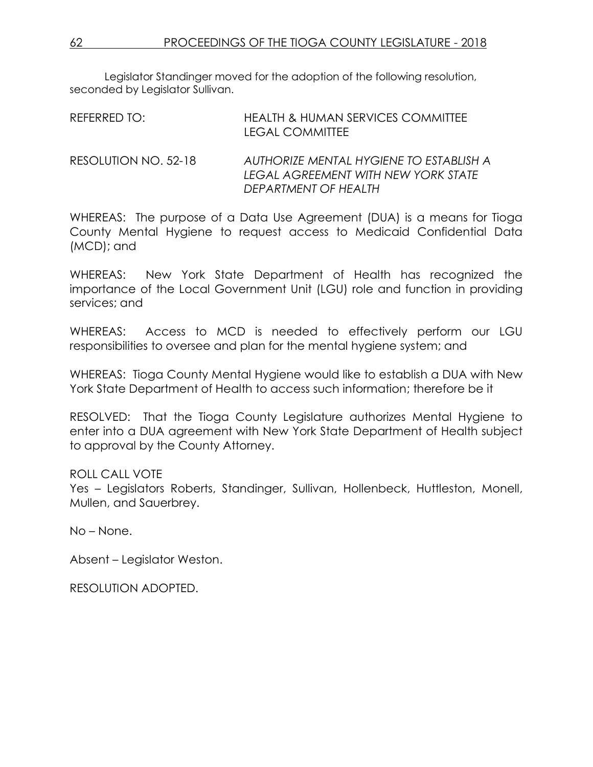Legislator Standinger moved for the adoption of the following resolution, seconded by Legislator Sullivan.

| REFERRED TO:         | HEALTH & HUMAN SERVICES COMMITTEE<br><b>LEGAL COMMITTEE</b>                    |
|----------------------|--------------------------------------------------------------------------------|
| RESOLUTION NO. 52-18 | AUTHORIZE MENTAL HYGIENE TO ESTABLISH A<br>LEGAL AGREEMENT WITH NEW YORK STATE |

WHEREAS: The purpose of a Data Use Agreement (DUA) is a means for Tioga County Mental Hygiene to request access to Medicaid Confidential Data (MCD); and

*DEPARTMENT OF HEALTH*

WHEREAS: New York State Department of Health has recognized the importance of the Local Government Unit (LGU) role and function in providing services; and

WHEREAS: Access to MCD is needed to effectively perform our LGU responsibilities to oversee and plan for the mental hygiene system; and

WHEREAS: Tioga County Mental Hygiene would like to establish a DUA with New York State Department of Health to access such information; therefore be it

RESOLVED: That the Tioga County Legislature authorizes Mental Hygiene to enter into a DUA agreement with New York State Department of Health subject to approval by the County Attorney.

## ROLL CALL VOTE

Yes – Legislators Roberts, Standinger, Sullivan, Hollenbeck, Huttleston, Monell, Mullen, and Sauerbrey.

No – None.

Absent – Legislator Weston.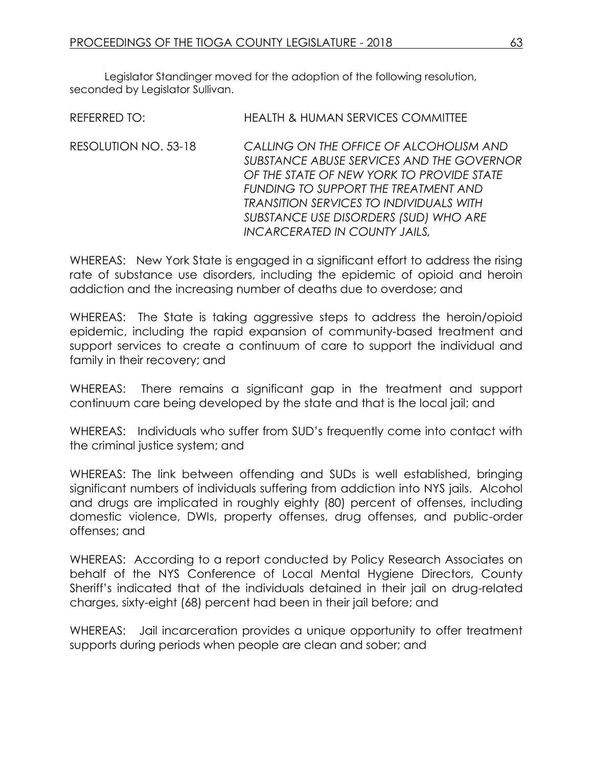Legislator Standinger moved for the adoption of the following resolution, seconded by Legislator Sullivan.

| <b>REFERRED TO:</b>  | <b>HEALTH &amp; HUMAN SERVICES COMMITTEE</b>                                                                                                                                                                                                                                                                 |
|----------------------|--------------------------------------------------------------------------------------------------------------------------------------------------------------------------------------------------------------------------------------------------------------------------------------------------------------|
| RESOLUTION NO. 53-18 | CALLING ON THE OFFICE OF ALCOHOLISM AND<br>SUBSTANCE ABUSE SERVICES AND THE GOVERNOR<br>OF THE STATE OF NEW YORK TO PROVIDE STATE<br>FUNDING TO SUPPORT THE TREATMENT AND<br><b>TRANSITION SERVICES TO INDIVIDUALS WITH</b><br>SUBSTANCE USE DISORDERS (SUD) WHO ARE<br><b>INCARCERATED IN COUNTY JAILS,</b> |
|                      |                                                                                                                                                                                                                                                                                                              |

WHEREAS: New York State is engaged in a significant effort to address the rising rate of substance use disorders, including the epidemic of opioid and heroin addiction and the increasing number of deaths due to overdose; and

WHEREAS: The State is taking aggressive steps to address the heroin/opioid epidemic, including the rapid expansion of community-based treatment and support services to create a continuum of care to support the individual and family in their recovery; and

WHEREAS: There remains a significant gap in the treatment and support continuum care being developed by the state and that is the local jail; and

WHEREAS: Individuals who suffer from SUD's frequently come into contact with the criminal justice system; and

WHEREAS: The link between offending and SUDs is well established, bringing significant numbers of individuals suffering from addiction into NYS jails. Alcohol and drugs are implicated in roughly eighty (80) percent of offenses, including domestic violence, DWIs, property offenses, drug offenses, and public-order offenses; and

WHEREAS: According to a report conducted by Policy Research Associates on behalf of the NYS Conference of Local Mental Hygiene Directors, County Sheriff's indicated that of the individuals detained in their jail on drug-related charges, sixty-eight (68) percent had been in their jail before; and

WHEREAS: Jail incarceration provides a unique opportunity to offer treatment supports during periods when people are clean and sober; and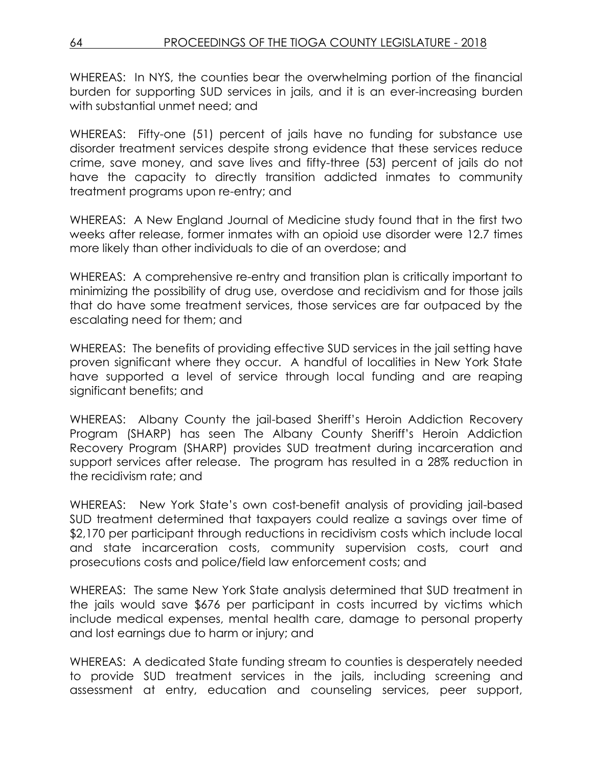WHEREAS: In NYS, the counties bear the overwhelming portion of the financial burden for supporting SUD services in jails, and it is an ever-increasing burden with substantial unmet need; and

WHEREAS: Fifty-one (51) percent of jails have no funding for substance use disorder treatment services despite strong evidence that these services reduce crime, save money, and save lives and fifty-three (53) percent of jails do not have the capacity to directly transition addicted inmates to community treatment programs upon re-entry; and

WHEREAS: A New England Journal of Medicine study found that in the first two weeks after release, former inmates with an opioid use disorder were 12.7 times more likely than other individuals to die of an overdose; and

WHEREAS: A comprehensive re-entry and transition plan is critically important to minimizing the possibility of drug use, overdose and recidivism and for those jails that do have some treatment services, those services are far outpaced by the escalating need for them; and

WHEREAS: The benefits of providing effective SUD services in the jail setting have proven significant where they occur. A handful of localities in New York State have supported a level of service through local funding and are reaping significant benefits; and

WHEREAS: Albany County the jail-based Sheriff's Heroin Addiction Recovery Program (SHARP) has seen The Albany County Sheriff's Heroin Addiction Recovery Program (SHARP) provides SUD treatment during incarceration and support services after release. The program has resulted in a 28% reduction in the recidivism rate; and

WHEREAS: New York State's own cost-benefit analysis of providing jail-based SUD treatment determined that taxpayers could realize a savings over time of \$2,170 per participant through reductions in recidivism costs which include local and state incarceration costs, community supervision costs, court and prosecutions costs and police/field law enforcement costs; and

WHEREAS: The same New York State analysis determined that SUD treatment in the jails would save \$676 per participant in costs incurred by victims which include medical expenses, mental health care, damage to personal property and lost earnings due to harm or injury; and

WHEREAS: A dedicated State funding stream to counties is desperately needed to provide SUD treatment services in the jails, including screening and assessment at entry, education and counseling services, peer support,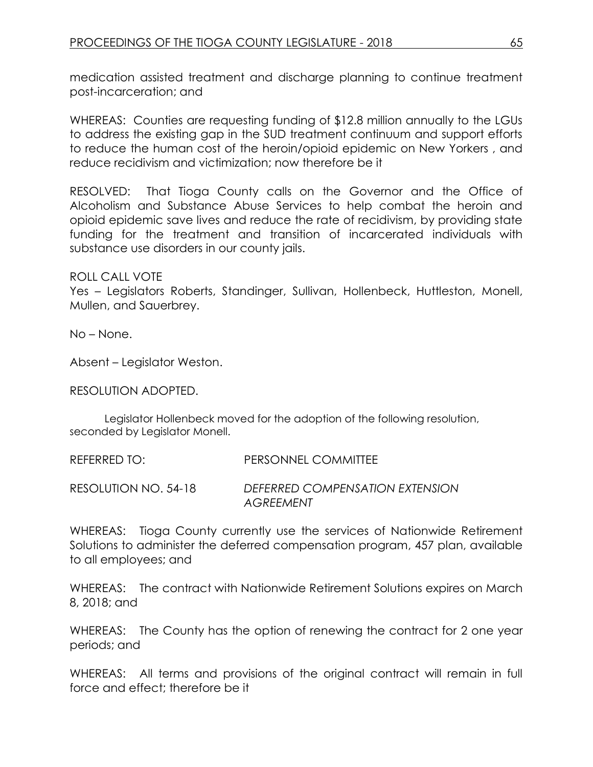medication assisted treatment and discharge planning to continue treatment post-incarceration; and

WHEREAS: Counties are requesting funding of \$12.8 million annually to the LGUs to address the existing gap in the SUD treatment continuum and support efforts to reduce the human cost of the heroin/opioid epidemic on New Yorkers , and reduce recidivism and victimization; now therefore be it

RESOLVED: That Tioga County calls on the Governor and the Office of Alcoholism and Substance Abuse Services to help combat the heroin and opioid epidemic save lives and reduce the rate of recidivism, by providing state funding for the treatment and transition of incarcerated individuals with substance use disorders in our county jails.

ROLL CALL VOTE

Yes – Legislators Roberts, Standinger, Sullivan, Hollenbeck, Huttleston, Monell, Mullen, and Sauerbrey.

No – None.

Absent – Legislator Weston.

RESOLUTION ADOPTED.

Legislator Hollenbeck moved for the adoption of the following resolution, seconded by Legislator Monell.

REFERRED TO: PERSONNEL COMMITTEE RESOLUTION NO. 54-18 *DEFERRED COMPENSATION EXTENSION AGREEMENT* 

WHEREAS: Tioga County currently use the services of Nationwide Retirement Solutions to administer the deferred compensation program, 457 plan, available to all employees; and

WHEREAS: The contract with Nationwide Retirement Solutions expires on March 8, 2018; and

WHEREAS: The County has the option of renewing the contract for 2 one year periods; and

WHEREAS: All terms and provisions of the original contract will remain in full force and effect; therefore be it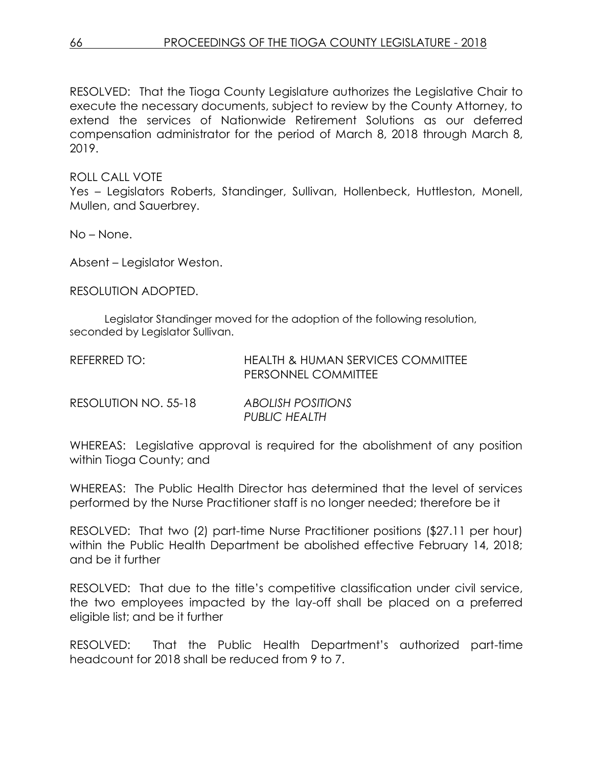RESOLVED: That the Tioga County Legislature authorizes the Legislative Chair to execute the necessary documents, subject to review by the County Attorney, to extend the services of Nationwide Retirement Solutions as our deferred compensation administrator for the period of March 8, 2018 through March 8, 2019.

ROLL CALL VOTE

Yes – Legislators Roberts, Standinger, Sullivan, Hollenbeck, Huttleston, Monell, Mullen, and Sauerbrey.

No – None.

Absent – Legislator Weston.

RESOLUTION ADOPTED.

Legislator Standinger moved for the adoption of the following resolution, seconded by Legislator Sullivan.

| REFERRED TO: | <b>HEALTH &amp; HUMAN SERVICES COMMITTEE</b> |
|--------------|----------------------------------------------|
|              | <b>PERSONNEL COMMITTEE</b>                   |
|              |                                              |

| RESOLUTION NO. 55-18 | <b>ABOLISH POSITIONS</b> |  |  |
|----------------------|--------------------------|--|--|
|                      | <b>PUBLIC HEALTH</b>     |  |  |

WHEREAS: Legislative approval is required for the abolishment of any position within Tioga County; and

WHEREAS: The Public Health Director has determined that the level of services performed by the Nurse Practitioner staff is no longer needed; therefore be it

RESOLVED: That two (2) part-time Nurse Practitioner positions (\$27.11 per hour) within the Public Health Department be abolished effective February 14, 2018; and be it further

RESOLVED: That due to the title's competitive classification under civil service, the two employees impacted by the lay-off shall be placed on a preferred eligible list; and be it further

RESOLVED: That the Public Health Department's authorized part-time headcount for 2018 shall be reduced from 9 to 7.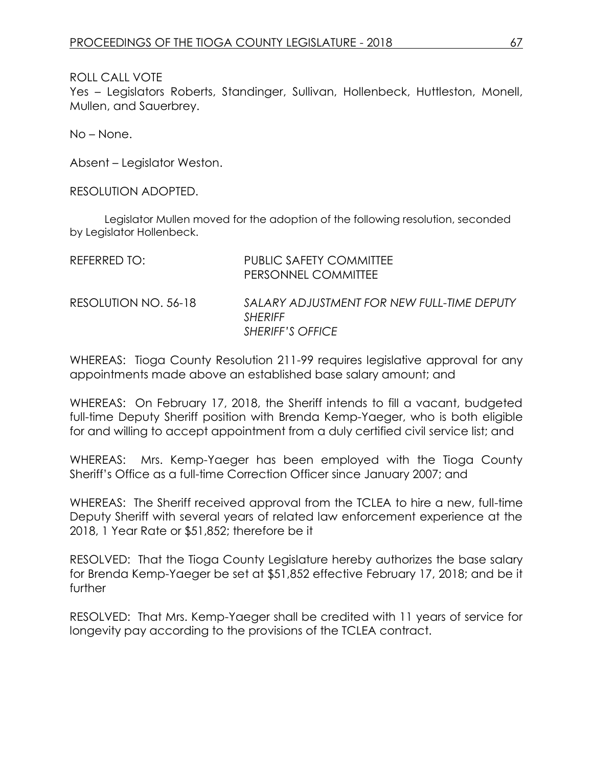#### ROLL CALL VOTE

Yes – Legislators Roberts, Standinger, Sullivan, Hollenbeck, Huttleston, Monell, Mullen, and Sauerbrey.

No – None.

Absent – Legislator Weston.

RESOLUTION ADOPTED.

Legislator Mullen moved for the adoption of the following resolution, seconded by Legislator Hollenbeck.

| REFERRED TO:         | PUBLIC SAFETY COMMITTEE<br>PERSONNEL COMMITTEE                                          |
|----------------------|-----------------------------------------------------------------------------------------|
| RESOLUTION NO. 56-18 | SALARY ADJUSTMENT FOR NEW FULL-TIME DEPUTY<br><b>SHERIFF</b><br><b>SHERIFF'S OFFICE</b> |

WHEREAS: Tioga County Resolution 211-99 requires legislative approval for any appointments made above an established base salary amount; and

WHEREAS: On February 17, 2018, the Sheriff intends to fill a vacant, budgeted full-time Deputy Sheriff position with Brenda Kemp-Yaeger, who is both eligible for and willing to accept appointment from a duly certified civil service list; and

WHEREAS: Mrs. Kemp-Yaeger has been employed with the Tioga County Sheriff's Office as a full-time Correction Officer since January 2007; and

WHEREAS: The Sheriff received approval from the TCLEA to hire a new, full-time Deputy Sheriff with several years of related law enforcement experience at the 2018, 1 Year Rate or \$51,852; therefore be it

RESOLVED: That the Tioga County Legislature hereby authorizes the base salary for Brenda Kemp-Yaeger be set at \$51,852 effective February 17, 2018; and be it further

RESOLVED: That Mrs. Kemp-Yaeger shall be credited with 11 years of service for longevity pay according to the provisions of the TCLEA contract.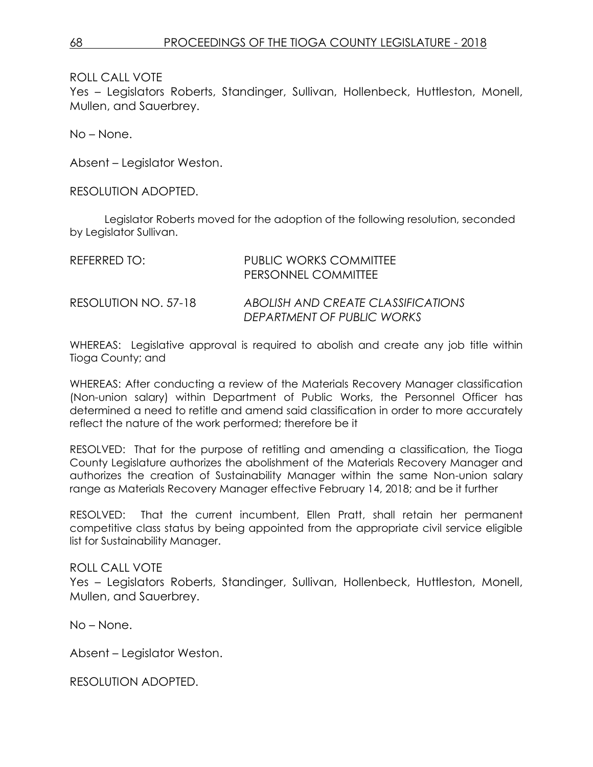ROLL CALL VOTE

Yes – Legislators Roberts, Standinger, Sullivan, Hollenbeck, Huttleston, Monell, Mullen, and Sauerbrey.

No – None.

Absent – Legislator Weston.

RESOLUTION ADOPTED.

Legislator Roberts moved for the adoption of the following resolution, seconded by Legislator Sullivan.

| REFERRED TO:         | PUBLIC WORKS COMMITTEE<br>PERSONNEL COMMITTEE                    |
|----------------------|------------------------------------------------------------------|
| RESOLUTION NO. 57-18 | ABOLISH AND CREATE CLASSIFICATIONS<br>DEPARTMENT OF PUBLIC WORKS |

WHEREAS: Legislative approval is required to abolish and create any job title within Tioga County; and

WHEREAS: After conducting a review of the Materials Recovery Manager classification (Non-union salary) within Department of Public Works, the Personnel Officer has determined a need to retitle and amend said classification in order to more accurately reflect the nature of the work performed; therefore be it

RESOLVED: That for the purpose of retitling and amending a classification, the Tioga County Legislature authorizes the abolishment of the Materials Recovery Manager and authorizes the creation of Sustainability Manager within the same Non-union salary range as Materials Recovery Manager effective February 14, 2018; and be it further

RESOLVED: That the current incumbent, Ellen Pratt, shall retain her permanent competitive class status by being appointed from the appropriate civil service eligible list for Sustainability Manager.

#### ROLL CALL VOTE

Yes – Legislators Roberts, Standinger, Sullivan, Hollenbeck, Huttleston, Monell, Mullen, and Sauerbrey.

No – None.

Absent – Legislator Weston.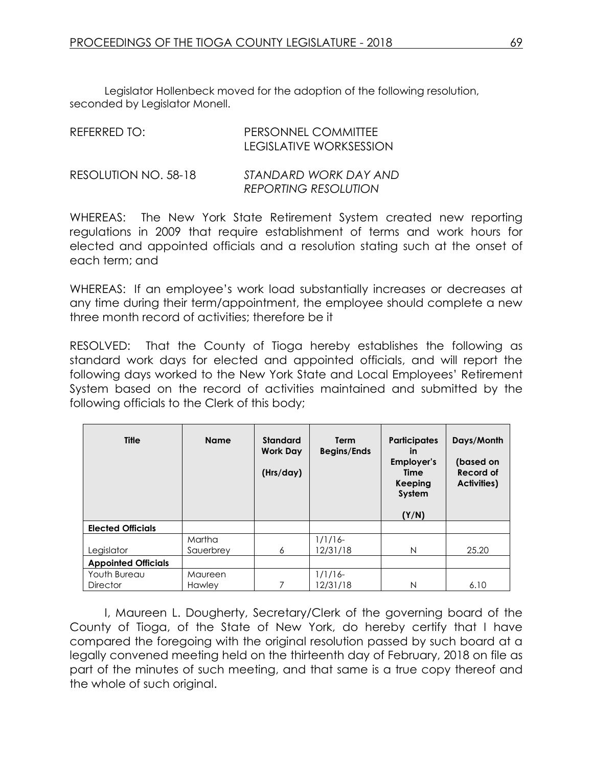Legislator Hollenbeck moved for the adoption of the following resolution, seconded by Legislator Monell.

| REFERRED TO:         | PERSONNEL COMMITTEE<br><b>LEGISLATIVE WORKSESSION</b> |
|----------------------|-------------------------------------------------------|
| RESOLUTION NO. 58-18 | STANDARD WORK DAY AND<br><b>REPORTING RESOLUTION</b>  |

WHEREAS: The New York State Retirement System created new reporting regulations in 2009 that require establishment of terms and work hours for elected and appointed officials and a resolution stating such at the onset of each term; and

WHEREAS: If an employee's work load substantially increases or decreases at any time during their term/appointment, the employee should complete a new three month record of activities; therefore be it

RESOLVED: That the County of Tioga hereby establishes the following as standard work days for elected and appointed officials, and will report the following days worked to the New York State and Local Employees' Retirement System based on the record of activities maintained and submitted by the following officials to the Clerk of this body;

| <b>Title</b>               | <b>Name</b> | <b>Standard</b><br><b>Work Day</b><br>(Hrs/day) | <b>Term</b><br><b>Begins/Ends</b> | <b>Participates</b><br><b>in</b><br>Employer's<br>Time<br>Keeping<br>System<br>(Y/N) | Days/Month<br>(based on<br>Record of<br><b>Activities)</b> |
|----------------------------|-------------|-------------------------------------------------|-----------------------------------|--------------------------------------------------------------------------------------|------------------------------------------------------------|
| <b>Elected Officials</b>   |             |                                                 |                                   |                                                                                      |                                                            |
|                            | Martha      |                                                 | $1/1/16-$                         |                                                                                      |                                                            |
| Legislator                 | Sauerbrev   | 6                                               | 12/31/18                          | N                                                                                    | 25.20                                                      |
| <b>Appointed Officials</b> |             |                                                 |                                   |                                                                                      |                                                            |
| Youth Bureau               | Maureen     |                                                 | $1/1/16$ -                        |                                                                                      |                                                            |
| <b>Director</b>            | Hawley      | 7                                               | 12/31/18                          | N                                                                                    | 6.10                                                       |

I, Maureen L. Dougherty, Secretary/Clerk of the governing board of the County of Tioga, of the State of New York, do hereby certify that I have compared the foregoing with the original resolution passed by such board at a legally convened meeting held on the thirteenth day of February, 2018 on file as part of the minutes of such meeting, and that same is a true copy thereof and the whole of such original.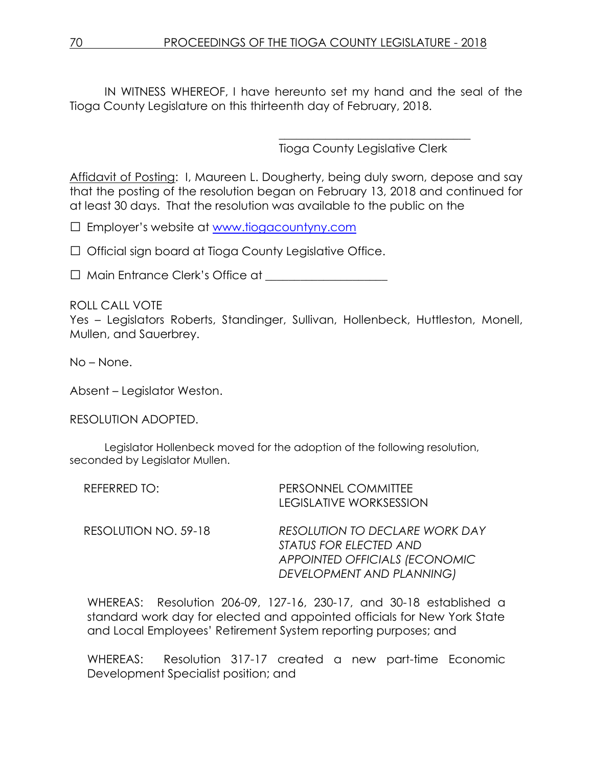IN WITNESS WHEREOF, I have hereunto set my hand and the seal of the Tioga County Legislature on this thirteenth day of February, 2018.

> \_\_\_\_\_\_\_\_\_\_\_\_\_\_\_\_\_\_\_\_\_\_\_\_\_\_\_\_\_\_\_\_\_ Tioga County Legislative Clerk

Affidavit of Posting: I, Maureen L. Dougherty, being duly sworn, depose and say that the posting of the resolution began on February 13, 2018 and continued for at least 30 days. That the resolution was available to the public on the

□ Employer's website at [www.tiogacountyny.com](http://www.tiogacountyny.com/)

□ Official sign board at Tioga County Legislative Office.

□ Main Entrance Clerk's Office at \_\_\_\_\_\_\_\_\_\_\_\_\_\_\_\_\_\_\_\_\_

## ROLL CALL VOTE

Yes – Legislators Roberts, Standinger, Sullivan, Hollenbeck, Huttleston, Monell, Mullen, and Sauerbrey.

No – None.

Absent – Legislator Weston.

RESOLUTION ADOPTED.

Legislator Hollenbeck moved for the adoption of the following resolution, seconded by Legislator Mullen.

| REFERRED TO:         | PERSONNEL COMMITTEE<br><b>LEGISLATIVE WORKSESSION</b>                                                                         |
|----------------------|-------------------------------------------------------------------------------------------------------------------------------|
| RESOLUTION NO. 59-18 | <b>RESOLUTION TO DECLARE WORK DAY</b><br>STATUS FOR ELECTED AND<br>APPOINTED OFFICIALS (ECONOMIC<br>DEVELOPMENT AND PLANNING) |

WHEREAS: Resolution 206-09, 127-16, 230-17, and 30-18 established a standard work day for elected and appointed officials for New York State and Local Employees' Retirement System reporting purposes; and

WHEREAS: Resolution 317-17 created a new part-time Economic Development Specialist position; and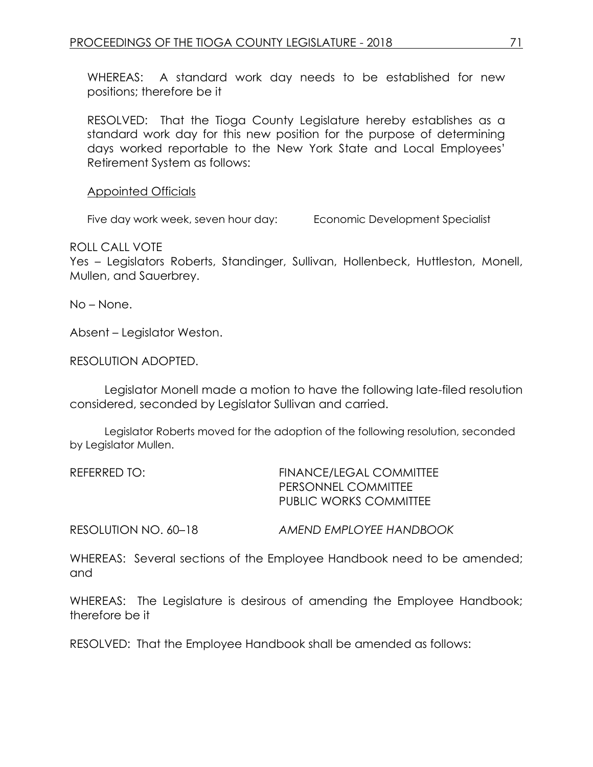WHEREAS: A standard work day needs to be established for new positions; therefore be it

RESOLVED: That the Tioga County Legislature hereby establishes as a standard work day for this new position for the purpose of determining days worked reportable to the New York State and Local Employees' Retirement System as follows:

Appointed Officials

Five day work week, seven hour day: Economic Development Specialist

ROLL CALL VOTE

Yes – Legislators Roberts, Standinger, Sullivan, Hollenbeck, Huttleston, Monell, Mullen, and Sauerbrey.

No – None.

Absent – Legislator Weston.

RESOLUTION ADOPTED.

Legislator Monell made a motion to have the following late-filed resolution considered, seconded by Legislator Sullivan and carried.

Legislator Roberts moved for the adoption of the following resolution, seconded by Legislator Mullen.

| <b>FINANCE/LEGAL COMMITTEE</b> |  |  |
|--------------------------------|--|--|
|                                |  |  |
| PUBLIC WORKS COMMITTEE         |  |  |
|                                |  |  |

RESOLUTION NO. 60–18 *AMEND EMPLOYEE HANDBOOK*

WHEREAS: Several sections of the Employee Handbook need to be amended; and

WHEREAS: The Legislature is desirous of amending the Employee Handbook; therefore be it

RESOLVED: That the Employee Handbook shall be amended as follows: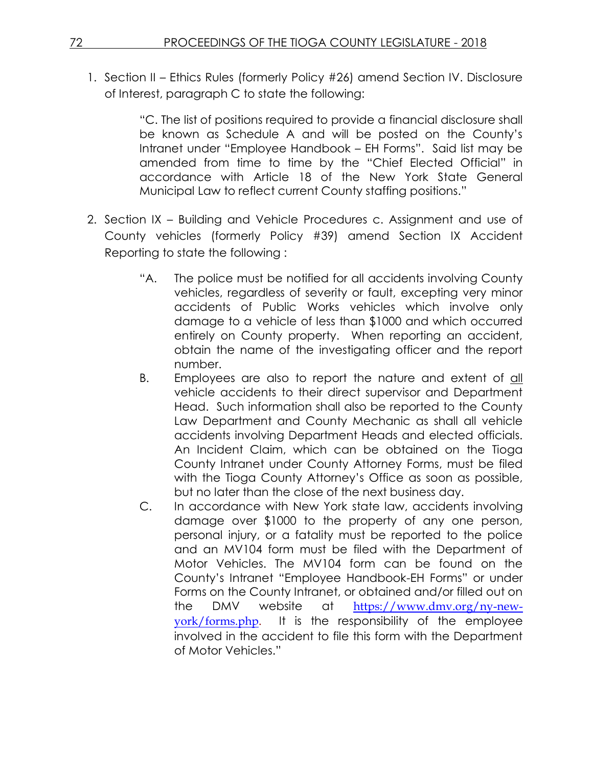1. Section II – Ethics Rules (formerly Policy #26) amend Section IV. Disclosure of Interest, paragraph C to state the following:

> "C. The list of positions required to provide a financial disclosure shall be known as Schedule A and will be posted on the County's Intranet under "Employee Handbook – EH Forms". Said list may be amended from time to time by the "Chief Elected Official" in accordance with Article 18 of the New York State General Municipal Law to reflect current County staffing positions."

- 2. Section IX Building and Vehicle Procedures c. Assignment and use of County vehicles (formerly Policy #39) amend Section IX Accident Reporting to state the following :
	- "A. The police must be notified for all accidents involving County vehicles, regardless of severity or fault, excepting very minor accidents of Public Works vehicles which involve only damage to a vehicle of less than \$1000 and which occurred entirely on County property. When reporting an accident, obtain the name of the investigating officer and the report number.
	- B. Employees are also to report the nature and extent of all vehicle accidents to their direct supervisor and Department Head. Such information shall also be reported to the County Law Department and County Mechanic as shall all vehicle accidents involving Department Heads and elected officials. An Incident Claim, which can be obtained on the Tioga County Intranet under County Attorney Forms, must be filed with the Tioga County Attorney's Office as soon as possible, but no later than the close of the next business day.
	- C. In accordance with New York state law, accidents involving damage over \$1000 to the property of any one person, personal injury, or a fatality must be reported to the police and an MV104 form must be filed with the Department of Motor Vehicles. The MV104 form can be found on the County's Intranet "Employee Handbook-EH Forms" or under Forms on the County Intranet, or obtained and/or filled out on the DMV website at [https://www.dmv.org/ny-new](https://www.dmv.org/ny-new-york/forms.php)[york/forms.php.](https://www.dmv.org/ny-new-york/forms.php) It is the responsibility of the employee involved in the accident to file this form with the Department of Motor Vehicles."